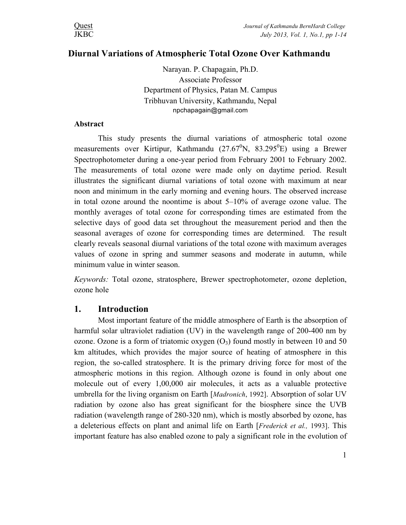# **Diurnal Variations of Atmospheric Total Ozone Over Kathmandu**

Narayan. P. Chapagain, Ph.D. Associate Professor Department of Physics, Patan M. Campus Tribhuvan University, Kathmandu, Nepal npchapagain@gmail.com

### **Abstract**

This study presents the diurnal variations of atmospheric total ozone measurements over Kirtipur, Kathmandu  $(27.67^0N, 83.295^0E)$  using a Brewer Spectrophotometer during a one-year period from February 2001 to February 2002. The measurements of total ozone were made only on daytime period. Result illustrates the significant diurnal variations of total ozone with maximum at near noon and minimum in the early morning and evening hours. The observed increase in total ozone around the noontime is about 5–10% of average ozone value. The monthly averages of total ozone for corresponding times are estimated from the selective days of good data set throughout the measurement period and then the seasonal averages of ozone for corresponding times are determined. The result clearly reveals seasonal diurnal variations of the total ozone with maximum averages values of ozone in spring and summer seasons and moderate in autumn, while minimum value in winter season.

*Keywords:* Total ozone, stratosphere, Brewer spectrophotometer, ozone depletion, ozone hole

# **1. Introduction**

Most important feature of the middle atmosphere of Earth is the absorption of harmful solar ultraviolet radiation (UV) in the wavelength range of 200-400 nm by ozone. Ozone is a form of triatomic oxygen  $(O_3)$  found mostly in between 10 and 50 km altitudes, which provides the major source of heating of atmosphere in this region, the so-called stratosphere. It is the primary driving force for most of the atmospheric motions in this region. Although ozone is found in only about one molecule out of every 1,00,000 air molecules, it acts as a valuable protective umbrella for the living organism on Earth [*Madronich*, 1992]. Absorption of solar UV radiation by ozone also has great significant for the biosphere since the UVB radiation (wavelength range of 280-320 nm), which is mostly absorbed by ozone, has a deleterious effects on plant and animal life on Earth [*Frederick et al.,* 1993]. This important feature has also enabled ozone to paly a significant role in the evolution of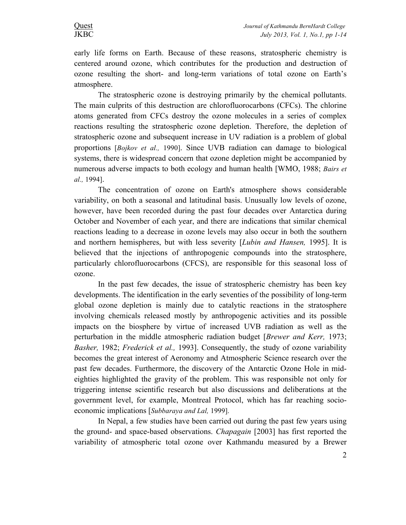early life forms on Earth. Because of these reasons, stratospheric chemistry is centered around ozone, which contributes for the production and destruction of ozone resulting the short- and long-term variations of total ozone on Earth's atmosphere.

The stratospheric ozone is destroying primarily by the chemical pollutants. The main culprits of this destruction are chlorofluorocarbons (CFCs). The chlorine atoms generated from CFCs destroy the ozone molecules in a series of complex reactions resulting the stratospheric ozone depletion. Therefore, the depletion of stratospheric ozone and subsequent increase in UV radiation is a problem of global proportions [*Bojkov et al.,* 1990]. Since UVB radiation can damage to biological systems, there is widespread concern that ozone depletion might be accompanied by numerous adverse impacts to both ecology and human health [WMO, 1988; *Bairs et al.,* 1994].

The concentration of ozone on Earth's atmosphere shows considerable variability, on both a seasonal and latitudinal basis. Unusually low levels of ozone, however, have been recorded during the past four decades over Antarctica during October and November of each year, and there are indications that similar chemical reactions leading to a decrease in ozone levels may also occur in both the southern and northern hemispheres, but with less severity [*Lubin and Hansen,* 1995]. It is believed that the injections of anthropogenic compounds into the stratosphere, particularly chlorofluorocarbons (CFCS), are responsible for this seasonal loss of ozone.

In the past few decades, the issue of stratospheric chemistry has been key developments. The identification in the early seventies of the possibility of long-term global ozone depletion is mainly due to catalytic reactions in the stratosphere involving chemicals released mostly by anthropogenic activities and its possible impacts on the biosphere by virtue of increased UVB radiation as well as the perturbation in the middle atmospheric radiation budget [*Brewer and Kerr,* 1973; *Basher,* 1982; *Frederick et al.,* 1993]. Consequently, the study of ozone variability becomes the great interest of Aeronomy and Atmospheric Science research over the past few decades. Furthermore, the discovery of the Antarctic Ozone Hole in mideighties highlighted the gravity of the problem. This was responsible not only for triggering intense scientific research but also discussions and deliberations at the government level, for example, Montreal Protocol, which has far reaching socioeconomic implications [*Subbaraya and Lal,* 1999].

In Nepal, a few studies have been carried out during the past few years using the ground- and space-based observations. *Chapagain* [2003] has first reported the variability of atmospheric total ozone over Kathmandu measured by a Brewer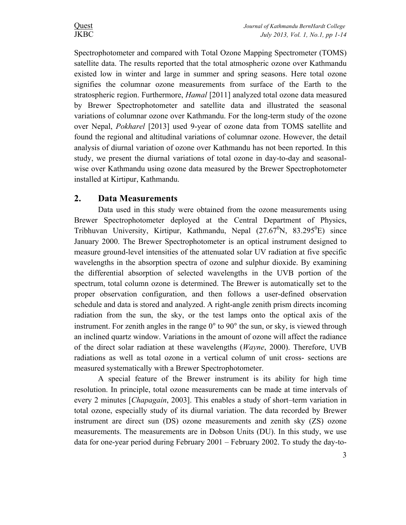Spectrophotometer and compared with Total Ozone Mapping Spectrometer (TOMS) satellite data. The results reported that the total atmospheric ozone over Kathmandu existed low in winter and large in summer and spring seasons. Here total ozone signifies the columnar ozone measurements from surface of the Earth to the stratospheric region. Furthermore, *Hamal* [2011] analyzed total ozone data measured by Brewer Spectrophotometer and satellite data and illustrated the seasonal variations of columnar ozone over Kathmandu. For the long-term study of the ozone over Nepal, *Pokharel* [2013] used 9-year of ozone data from TOMS satellite and found the regional and altitudinal variations of columnar ozone. However, the detail analysis of diurnal variation of ozone over Kathmandu has not been reported. In this study, we present the diurnal variations of total ozone in day-to-day and seasonalwise over Kathmandu using ozone data measured by the Brewer Spectrophotometer installed at Kirtipur, Kathmandu.

# **2. Data Measurements**

Data used in this study were obtained from the ozone measurements using Brewer Spectrophotometer deployed at the Central Department of Physics, Tribhuvan University, Kirtipur, Kathmandu, Nepal  $(27.67^0N, 83.295^0E)$  since January 2000. The Brewer Spectrophotometer is an optical instrument designed to measure ground-level intensities of the attenuated solar UV radiation at five specific wavelengths in the absorption spectra of ozone and sulphur dioxide. By examining the differential absorption of selected wavelengths in the UVB portion of the spectrum, total column ozone is determined. The Brewer is automatically set to the proper observation configuration, and then follows a user-defined observation schedule and data is stored and analyzed. A right-angle zenith prism directs incoming radiation from the sun, the sky, or the test lamps onto the optical axis of the instrument. For zenith angles in the range  $0^{\circ}$  to  $90^{\circ}$  the sun, or sky, is viewed through an inclined quartz window. Variations in the amount of ozone will affect the radiance of the direct solar radiation at these wavelengths (*Wayne*, 2000). Therefore, UVB radiations as well as total ozone in a vertical column of unit cross- sections are measured systematically with a Brewer Spectrophotometer.

A special feature of the Brewer instrument is its ability for high time resolution. In principle, total ozone measurements can be made at time intervals of every 2 minutes [*Chapagain*, 2003]. This enables a study of short–term variation in total ozone, especially study of its diurnal variation. The data recorded by Brewer instrument are direct sun (DS) ozone measurements and zenith sky (ZS) ozone measurements. The measurements are in Dobson Units (DU). In this study, we use data for one-year period during February 2001 – February 2002. To study the day-to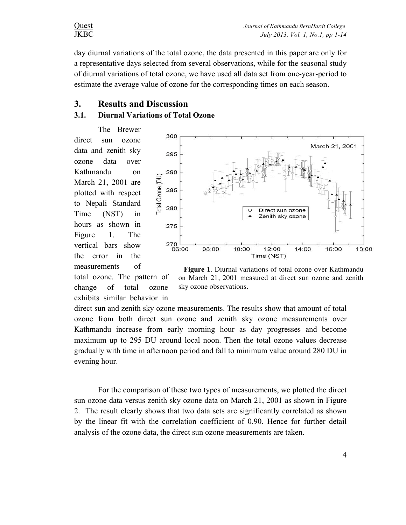day diurnal variations of the total ozone, the data presented in this paper are only for a representative days selected from several observations, while for the seasonal study of diurnal variations of total ozone, we have used all data set from one-year-period to estimate the average value of ozone for the corresponding times on each season.

# **3. Results and Discussion**

## **3.1. Diurnal Variations of Total Ozone**

The Brewer direct sun ozone data and zenith sky ozone data over Kathmandu on March 21, 2001 are plotted with respect to Nepali Standard Time (NST) in hours as shown in Figure 1. The vertical bars show the error in the measurements of

total ozone. The pattern of change of total ozone exhibits similar behavior in



 **Figure 1**. Diurnal variations of total ozone over Kathmandu on March 21, 2001 measured at direct sun ozone and zenith sky ozone observations.

direct sun and zenith sky ozone measurements. The results show that amount of total ozone from both direct sun ozone and zenith sky ozone measurements over Kathmandu increase from early morning hour as day progresses and become maximum up to 295 DU around local noon. Then the total ozone values decrease gradually with time in afternoon period and fall to minimum value around 280 DU in evening hour.

For the comparison of these two types of measurements, we plotted the direct sun ozone data versus zenith sky ozone data on March 21, 2001 as shown in Figure 2. The result clearly shows that two data sets are significantly correlated as shown by the linear fit with the correlation coefficient of 0.90. Hence for further detail analysis of the ozone data, the direct sun ozone measurements are taken.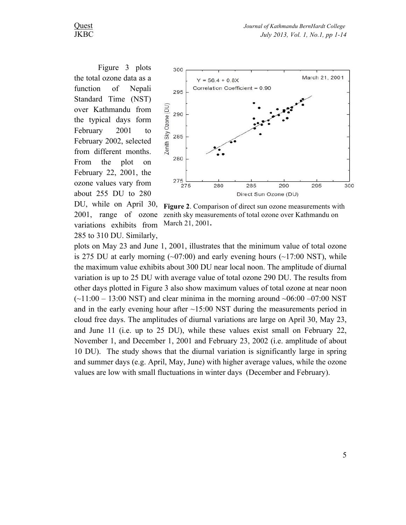Figure 3 plots the total ozone data as a function of Nepali Standard Time (NST) over Kathmandu from the typical days form February 2001 to February 2002, selected from different months. From the plot on February 22, 2001, the ozone values vary from about 255 DU to 280 DU, while on April 30, 2001, range of ozone variations exhibits from 285 to 310 DU. Similarly,



**Figure 2**. Comparison of direct sun ozone measurements with zenith sky measurements of total ozone over Kathmandu on March 21, 2001**.**

plots on May 23 and June 1, 2001, illustrates that the minimum value of total ozone is 275 DU at early morning  $(\sim 07:00)$  and early evening hours  $(\sim 17:00 \text{ NST})$ , while the maximum value exhibits about 300 DU near local noon. The amplitude of diurnal variation is up to 25 DU with average value of total ozone 290 DU. The results from other days plotted in Figure 3 also show maximum values of total ozone at near noon  $(-11:00 - 13:00 \text{ NST})$  and clear minima in the morning around  $-06:00 -07:00 \text{ NST}$ and in the early evening hour after  $\sim$ 15:00 NST during the measurements period in cloud free days. The amplitudes of diurnal variations are large on April 30, May 23, and June 11 (i.e. up to 25 DU), while these values exist small on February 22, November 1, and December 1, 2001 and February 23, 2002 (i.e. amplitude of about 10 DU). The study shows that the diurnal variation is significantly large in spring and summer days (e.g. April, May, June) with higher average values, while the ozone values are low with small fluctuations in winter days (December and February).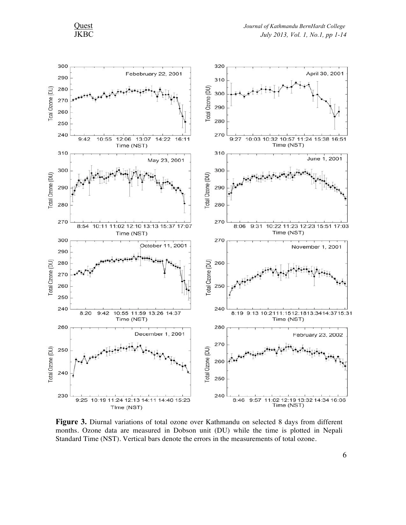

**Figure 3.** Diurnal variations of total ozone over Kathmandu on selected 8 days from different months. Ozone data are measured in Dobson unit (DU) while the time is plotted in Nepali Standard Time (NST). Vertical bars denote the errors in the measurements of total ozone.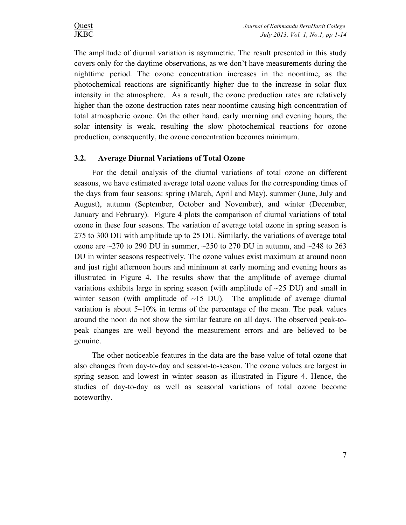The amplitude of diurnal variation is asymmetric. The result presented in this study covers only for the daytime observations, as we don't have measurements during the nighttime period. The ozone concentration increases in the noontime, as the photochemical reactions are significantly higher due to the increase in solar flux intensity in the atmosphere. As a result, the ozone production rates are relatively higher than the ozone destruction rates near noontime causing high concentration of total atmospheric ozone. On the other hand, early morning and evening hours, the solar intensity is weak, resulting the slow photochemical reactions for ozone production, consequently, the ozone concentration becomes minimum.

### **3.2. Average Diurnal Variations of Total Ozone**

For the detail analysis of the diurnal variations of total ozone on different seasons, we have estimated average total ozone values for the corresponding times of the days from four seasons: spring (March, April and May), summer (June, July and August), autumn (September, October and November), and winter (December, January and February). Figure 4 plots the comparison of diurnal variations of total ozone in these four seasons. The variation of average total ozone in spring season is 275 to 300 DU with amplitude up to 25 DU. Similarly, the variations of average total ozone are  $\sim$  270 to 290 DU in summer,  $\sim$  250 to 270 DU in autumn, and  $\sim$  248 to 263 DU in winter seasons respectively. The ozone values exist maximum at around noon and just right afternoon hours and minimum at early morning and evening hours as illustrated in Figure 4. The results show that the amplitude of average diurnal variations exhibits large in spring season (with amplitude of  $\sim$ 25 DU) and small in winter season (with amplitude of  $\sim$ 15 DU). The amplitude of average diurnal variation is about 5–10% in terms of the percentage of the mean. The peak values around the noon do not show the similar feature on all days. The observed peak-topeak changes are well beyond the measurement errors and are believed to be genuine.

The other noticeable features in the data are the base value of total ozone that also changes from day-to-day and season-to-season. The ozone values are largest in spring season and lowest in winter season as illustrated in Figure 4. Hence, the studies of day-to-day as well as seasonal variations of total ozone become noteworthy.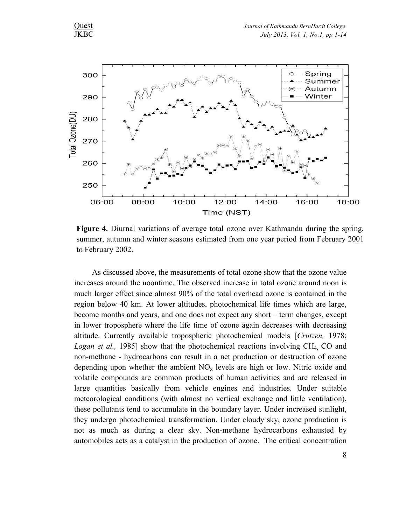

**Figure 4.** Diurnal variations of average total ozone over Kathmandu during the spring, summer, autumn and winter seasons estimated from one year period from February 2001 to February 2002.

As discussed above, the measurements of total ozone show that the ozone value increases around the noontime. The observed increase in total ozone around noon is much larger effect since almost 90% of the total overhead ozone is contained in the region below 40 km. At lower altitudes, photochemical life times which are large, become months and years, and one does not expect any short – term changes, except in lower troposphere where the life time of ozone again decreases with decreasing altitude. Currently available tropospheric photochemical models [*Crutzen,* 1978; *Logan et al.,* 1985] show that the photochemical reactions involving CH<sub>4</sub> CO and non-methane - hydrocarbons can result in a net production or destruction of ozone depending upon whether the ambient  $NO<sub>x</sub>$  levels are high or low. Nitric oxide and volatile compounds are common products of human activities and are released in large quantities basically from vehicle engines and industries. Under suitable meteorological conditions (with almost no vertical exchange and little ventilation), these pollutants tend to accumulate in the boundary layer. Under increased sunlight, they undergo photochemical transformation. Under cloudy sky, ozone production is not as much as during a clear sky. Non-methane hydrocarbons exhausted by automobiles acts as a catalyst in the production of ozone. The critical concentration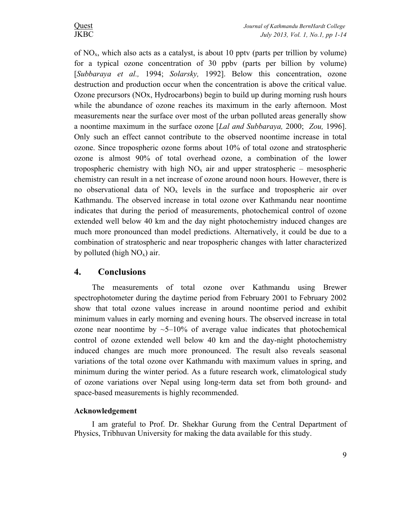of  $NO<sub>x</sub>$ , which also acts as a catalyst, is about 10 pptv (parts per trillion by volume) for a typical ozone concentration of 30 ppbv (parts per billion by volume) [*Subbaraya et al.,* 1994; *Solarsky,* 1992]. Below this concentration, ozone destruction and production occur when the concentration is above the critical value. Ozone precursors (NOx, Hydrocarbons) begin to build up during morning rush hours while the abundance of ozone reaches its maximum in the early afternoon. Most measurements near the surface over most of the urban polluted areas generally show a noontime maximum in the surface ozone [*Lal and Subbaraya,* 2000; *Zou,* 1996]. Only such an effect cannot contribute to the observed noontime increase in total ozone. Since tropospheric ozone forms about 10% of total ozone and stratospheric ozone is almost 90% of total overhead ozone, a combination of the lower tropospheric chemistry with high  $NO<sub>x</sub>$  air and upper stratospheric – mesospheric chemistry can result in a net increase of ozone around noon hours. However, there is no observational data of  $NO<sub>x</sub>$  levels in the surface and tropospheric air over Kathmandu. The observed increase in total ozone over Kathmandu near noontime indicates that during the period of measurements, photochemical control of ozone extended well below 40 km and the day night photochemistry induced changes are much more pronounced than model predictions. Alternatively, it could be due to a combination of stratospheric and near tropospheric changes with latter characterized by polluted (high  $NO_x$ ) air.

# **4. Conclusions**

The measurements of total ozone over Kathmandu using Brewer spectrophotometer during the daytime period from February 2001 to February 2002 show that total ozone values increase in around noontime period and exhibit minimum values in early morning and evening hours. The observed increase in total ozone near noontime by  $\sim$  5–10% of average value indicates that photochemical control of ozone extended well below 40 km and the day-night photochemistry induced changes are much more pronounced. The result also reveals seasonal variations of the total ozone over Kathmandu with maximum values in spring, and minimum during the winter period. As a future research work, climatological study of ozone variations over Nepal using long-term data set from both ground- and space-based measurements is highly recommended.

### **Acknowledgement**

I am grateful to Prof. Dr. Shekhar Gurung from the Central Department of Physics, Tribhuvan University for making the data available for this study.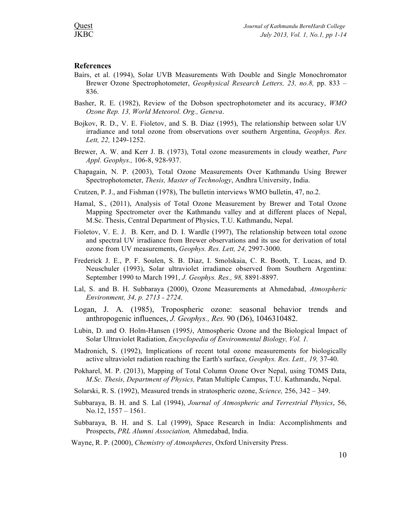#### **References**

- Bairs, et al. (1994), Solar UVB Measurements With Double and Single Monochromator Brewer Ozone Spectrophotometer, *Geophysical Research Letters, 23, no.8,* pp. 833 – 836.
- Basher, R. E. (1982), Review of the Dobson spectrophotometer and its accuracy, *WMO Ozone Rep. 13, World Meteorol. Org., Geneva*.
- Bojkov, R. D., V. E. Fioletov, and S. B. Diaz (1995), The relationship between solar UV irradiance and total ozone from observations over southern Argentina, *Geophys. Res. Lett, 22,* 1249-1252.
- Brewer, A. W. and Kerr J. B. (1973), Total ozone measurements in cloudy weather, *Pure Appl. Geophys.,* 106-8, 928-937.
- Chapagain, N. P. (2003), Total Ozone Measurements Over Kathmandu Using Brewer Spectrophotometer, *Thesis, Master of Technology*, Andhra University, India.
- Crutzen, P. J., and Fishman (1978), The bulletin interviews WMO bulletin, 47, no.2.
- Hamal, S., (2011), Analysis of Total Ozone Measurement by Brewer and Total Ozone Mapping Spectrometer over the Kathmandu valley and at different places of Nepal, M.Sc. Thesis, Central Department of Physics, T.U. Kathmandu, Nepal.
- Fioletov, V. E. J. B. Kerr, and D. I. Wardle (1997), The relationship between total ozone and spectral UV irradiance from Brewer observations and its use for derivation of total ozone from UV measurements, *Geophys. Res. Lett, 24,* 2997-3000.
- Frederick J. E., P. F. Soulen, S. B. Diaz, I. Smolskaia, C. R. Booth, T. Lucas, and D. Neuschuler (1993), Solar ultraviolet irradiance observed from Southern Argentina: September 1990 to March 1991, *J. Geophys. Res., 98,* 8891-8897.
- Lal, S. and B. H. Subbaraya (2000), Ozone Measurements at Ahmedabad, *Atmospheric Environment, 34, p. 2713 - 2724*.
- Logan, J. A. (1985), Tropospheric ozone: seasonal behavior trends and anthropogenic influences, *J. Geophys., Res.* 90 (D6), 1046310482.
- Lubin, D. and O. Holm-Hansen (1995*)*, Atmospheric Ozone and the Biological Impact of Solar Ultraviolet Radiation, *Encyclopedia of Environmental Biology, Vol. 1.*
- Madronich, S. (1992), Implications of recent total ozone measurements for biologically active ultraviolet radiation reaching the Earth's surface, *Geophys. Res. Lett., 19,* 37-40.
- Pokharel, M. P. (2013), Mapping of Total Column Ozone Over Nepal, using TOMS Data, *M.Sc. Thesis, Department of Physics,* Patan Multiple Campus, T.U. Kathmandu, Nepal.
- Solarski, R. S. (1992), Measured trends in stratospheric ozone, *Science,* 256, 342 349.
- Subbaraya, B. H. and S. Lal (1994), *Journal of Atmospheric and Terrestrial Physics*, 56, No.12, 1557 – 1561.
- Subbaraya, B. H. and S. Lal (1999), Space Research in India: Accomplishments and Prospects, *PRL Alumni Association,* Ahmedabad, India.
- Wayne, R. P. (2000), *Chemistry of Atmospheres*, Oxford University Press.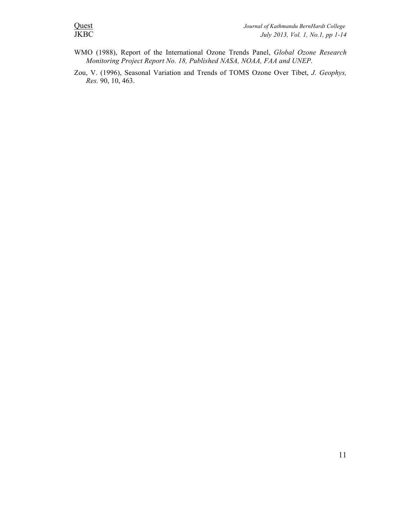- WMO (1988), Report of the International Ozone Trends Panel, *Global Ozone Research Monitoring Project Report No. 18, Published NASA, NOAA, FAA and UNEP.*
- Zou, V. (1996), Seasonal Variation and Trends of TOMS Ozone Over Tibet, *J. Geophys, Res.* 90, 10, 463.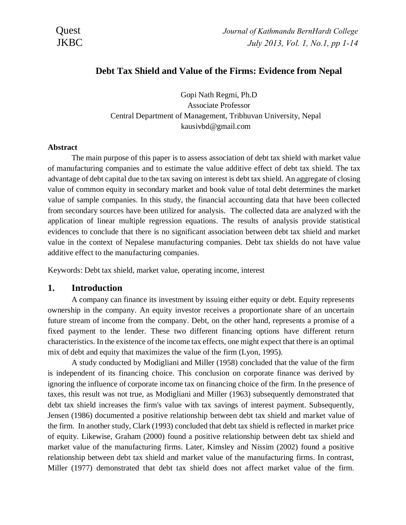

# **Debt Tax Shield and Value of the Firms: Evidence from Nepal**

Gopi Nath Regmi, Ph.D Associate Professor Central Department of Management, Tribhuvan University, Nepal kausivbd@gmail.com

#### **Abstract**

The main purpose of this paper is to assess association of debt tax shield with market value of manufacturing companies and to estimate the value additive effect of debt tax shield. The tax advantage of debt capital due to the tax saving on interest is debt tax shield. An aggregate of closing value of common equity in secondary market and book value of total debt determines the market value of sample companies. In this study, the financial accounting data that have been collected from secondary sources have been utilized for analysis. The collected data are analyzed with the application of linear multiple regression equations. The results of analysis provide statistical evidences to conclude that there is no significant association between debt tax shield and market value in the context of Nepalese manufacturing companies. Debt tax shields do not have value additive effect to the manufacturing companies.

Keywords: Debt tax shield, market value, operating income, interest

## **1. Introduction**

A company can finance its investment by issuing either equity or debt. Equity represents ownership in the company. An equity investor receives a proportionate share of an uncertain future stream of income from the company. Debt, on the other hand, represents a promise of a fixed payment to the lender. These two different financing options have different return characteristics. In the existence of the income tax effects, one might expect that there is an optimal mix of debt and equity that maximizes the value of the firm (Lyon, 1995).

A study conducted by Modigliani and Miller (1958) concluded that the value of the firm is independent of its financing choice. This conclusion on corporate finance was derived by ignoring the influence of corporate income tax on financing choice of the firm. In the presence of taxes, this result was not true, as Modigliani and Miller (1963) subsequently demonstrated that debt tax shield increases the firm's value with tax savings of interest payment. Subsequently, Jensen (1986) documented a positive relationship between debt tax shield and market value of the firm. In another study, Clark (1993) concluded that debt tax shield is reflected in market price of equity. Likewise, Graham (2000) found a positive relationship between debt tax shield and market value of the manufacturing firms. Later, Kimsley and Nissim (2002) found a positive relationship between debt tax shield and market value of the manufacturing firms. In contrast, Miller (1977) demonstrated that debt tax shield does not affect market value of the firm.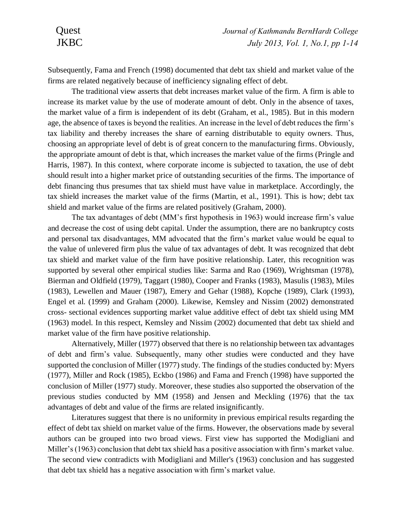Subsequently, Fama and French (1998) documented that debt tax shield and market value of the firms are related negatively because of inefficiency signaling effect of debt.

The traditional view asserts that debt increases market value of the firm. A firm is able to increase its market value by the use of moderate amount of debt. Only in the absence of taxes, the market value of a firm is independent of its debt (Graham, et al., 1985). But in this modern age, the absence of taxes is beyond the realities. An increase in the level of debt reduces the firm's tax liability and thereby increases the share of earning distributable to equity owners. Thus, choosing an appropriate level of debt is of great concern to the manufacturing firms. Obviously, the appropriate amount of debt is that, which increases the market value of the firms (Pringle and Harris, 1987). In this context, where corporate income is subjected to taxation, the use of debt should result into a higher market price of outstanding securities of the firms. The importance of debt financing thus presumes that tax shield must have value in marketplace. Accordingly, the tax shield increases the market value of the firms (Martin, et al., 1991). This is how; debt tax shield and market value of the firms are related positively (Graham, 2000).

The tax advantages of debt (MM's first hypothesis in 1963) would increase firm's value and decrease the cost of using debt capital. Under the assumption, there are no bankruptcy costs and personal tax disadvantages, MM advocated that the firm's market value would be equal to the value of unlevered firm plus the value of tax advantages of debt. It was recognized that debt tax shield and market value of the firm have positive relationship. Later, this recognition was supported by several other empirical studies like: Sarma and Rao (1969), Wrightsman (1978), Bierman and Oldfield (1979), Taggart (1980), Cooper and Franks (1983), Masulis (1983), Miles (1983), Lewellen and Mauer (1987), Emery and Gehar (1988), Kopche (1989), Clark (1993), Engel et al. (1999) and Graham (2000). Likewise, Kemsley and Nissim (2002) demonstrated cross- sectional evidences supporting market value additive effect of debt tax shield using MM (1963) model. In this respect, Kemsley and Nissim (2002) documented that debt tax shield and market value of the firm have positive relationship.

Alternatively, Miller (1977) observed that there is no relationship between tax advantages of debt and firm's value. Subsequently, many other studies were conducted and they have supported the conclusion of Miller (1977) study. The findings of the studies conducted by: Myers (1977), Miller and Rock (1985), Eckbo (1986) and Fama and French (1998) have supported the conclusion of Miller (1977) study. Moreover, these studies also supported the observation of the previous studies conducted by MM (1958) and Jensen and Meckling (1976) that the tax advantages of debt and value of the firms are related insignificantly.

Literatures suggest that there is no uniformity in previous empirical results regarding the effect of debt tax shield on market value of the firms. However, the observations made by several authors can be grouped into two broad views. First view has supported the Modigliani and Miller's (1963) conclusion that debt tax shield has a positive association with firm's market value. The second view contradicts with Modigliani and Miller's (1963) conclusion and has suggested that debt tax shield has a negative association with firm's market value.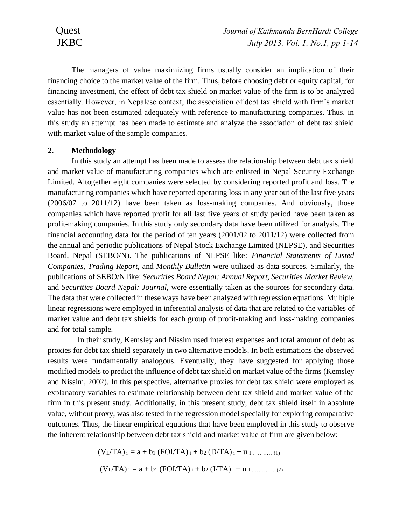The managers of value maximizing firms usually consider an implication of their financing choice to the market value of the firm. Thus, before choosing debt or equity capital, for financing investment, the effect of debt tax shield on market value of the firm is to be analyzed essentially. However, in Nepalese context, the association of debt tax shield with firm's market value has not been estimated adequately with reference to manufacturing companies. Thus, in this study an attempt has been made to estimate and analyze the association of debt tax shield with market value of the sample companies.

#### **2. Methodology**

In this study an attempt has been made to assess the relationship between debt tax shield and market value of manufacturing companies which are enlisted in Nepal Security Exchange Limited. Altogether eight companies were selected by considering reported profit and loss. The manufacturing companies which have reported operating loss in any year out of the last five years (2006/07 to 2011/12) have been taken as loss-making companies. And obviously, those companies which have reported profit for all last five years of study period have been taken as profit-making companies. In this study only secondary data have been utilized for analysis. The financial accounting data for the period of ten years (2001/02 to 2011/12) were collected from the annual and periodic publications of Nepal Stock Exchange Limited (NEPSE), and Securities Board, Nepal (SEBO/N). The publications of NEPSE like: *Financial Statements of Listed Companies, Trading Report,* and *Monthly Bulletin* were utilized as data sources. Similarly, the publications of SEBO/N like: *Securities Board Nepal: Annual Report, Securities Market Review,* and *Securities Board Nepal: Journal,* were essentially taken as the sources for secondary data. The data that were collected in these ways have been analyzed with regression equations. Multiple linear regressions were employed in inferential analysis of data that are related to the variables of market value and debt tax shields for each group of profit-making and loss-making companies and for total sample.

In their study, Kemsley and Nissim used interest expenses and total amount of debt as proxies for debt tax shield separately in two alternative models. In both estimations the observed results were fundamentally analogous. Eventually, they have suggested for applying those modified models to predict the influence of debt tax shield on market value of the firms (Kemsley and Nissim, 2002). In this perspective, alternative proxies for debt tax shield were employed as explanatory variables to estimate relationship between debt tax shield and market value of the firm in this present study. Additionally, in this present study, debt tax shield itself in absolute value, without proxy, was also tested in the regression model specially for exploring comparative outcomes. Thus, the linear empirical equations that have been employed in this study to observe the inherent relationship between debt tax shield and market value of firm are given below:

$$
(V_L/TA)_i = a + b_1 (FOI/TA)_i + b_2 (D/TA)_i + u_1 \dots (1)
$$
  

$$
(V_L/TA)_i = a + b_1 (FOI/TA)_i + b_2 (I/TA)_i + u_1 \dots (2)
$$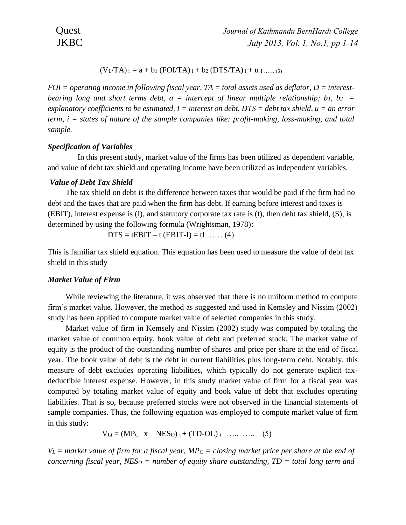$$
(V_L/TA)_i = a + b_1 (FOI/TA)_i + b_2 (DTS/TA)_i + u_{1 \dots (3)}
$$

*FOI = operating income in following fiscal year, TA = total assets used as deflator, D = interestbearing long and short terms debt, a = intercept of linear multiple relationship; b1, b2 = explanatory coefficients to be estimated, I = interest on debt, DTS = debt tax shield, u = an error term, i = states of nature of the sample companies like: profit-making, loss-making, and total sample.* 

### *Specification of Variables*

In this present study, market value of the firms has been utilized as dependent variable, and value of debt tax shield and operating income have been utilized as independent variables.

#### *Value of Debt Tax Shield*

The tax shield on debt is the difference between taxes that would be paid if the firm had no debt and the taxes that are paid when the firm has debt. If earning before interest and taxes is (EBIT), interest expense is (I), and statutory corporate tax rate is (t), then debt tax shield, (S), is determined by using the following formula (Wrightsman, 1978):

$$
DTS = tEBIT - t (EBIT-I) = tI \dots (4)
$$

This is familiar tax shield equation. This equation has been used to measure the value of debt tax shield in this study

#### *Market Value of Firm*

While reviewing the literature, it was observed that there is no uniform method to compute firm's market value. However, the method as suggested and used in Kemsley and Nissim (2002) study has been applied to compute market value of selected companies in this study.

Market value of firm in Kemsely and Nissim (2002) study was computed by totaling the market value of common equity, book value of debt and preferred stock. The market value of equity is the product of the outstanding number of shares and price per share at the end of fiscal year. The book value of debt is the debt in current liabilities plus long-term debt. Notably, this measure of debt excludes operating liabilities, which typically do not generate explicit taxdeductible interest expense. However, in this study market value of firm for a fiscal year was computed by totaling market value of equity and book value of debt that excludes operating liabilities. That is so, because preferred stocks were not observed in the financial statements of sample companies. Thus, the following equation was employed to compute market value of firm in this study:

 $V_{Lt} = (MP_C \times NESo)_{t} + (TD-OL)_{t} \dots \dots \dots \tag{5}$ 

 $V_L$  = market value of firm for a fiscal year, MP<sup> $_C$ </sup> = closing market price per share at the end of *concerning fiscal year, NES<sup>O</sup> = number of equity share outstanding, TD = total long term and*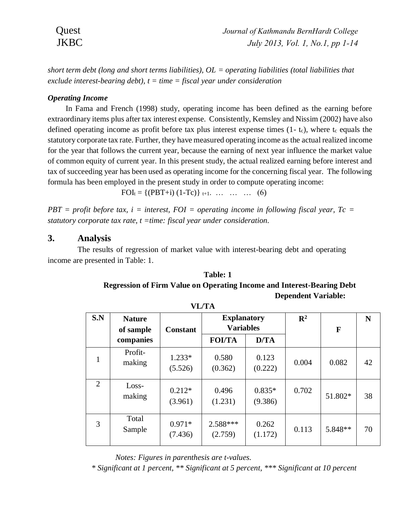*short term debt (long and short terms liabilities), OL = operating liabilities (total liabilities that exclude interest-bearing debt), t = time = fiscal year under consideration*

# *Operating Income*

In Fama and French (1998) study, operating income has been defined as the earning before extraordinary items plus after tax interest expense. Consistently, Kemsley and Nissim (2002) have also defined operating income as profit before tax plus interest expense times  $(1-t_c)$ , where  $t_c$  equals the statutory corporate tax rate. Further, they have measured operating income as the actual realized income for the year that follows the current year, because the earning of next year influence the market value of common equity of current year. In this present study, the actual realized earning before interest and tax of succeeding year has been used as operating income for the concerning fiscal year. The following formula has been employed in the present study in order to compute operating income:

 $FOL_t = \{(PBT+i) (1-Tc)\}_{t+1}$ . ... ... ... (6)

*PBT = profit before tax, i = interest, FOI = operating income in following fiscal year, Tc = statutory corporate tax rate, t =time: fiscal year under consideration.*

# **3. Analysis**

The results of regression of market value with interest-bearing debt and operating income are presented in Table: 1.

| Table: 1                                                                      |
|-------------------------------------------------------------------------------|
| <b>Regression of Firm Value on Operating Income and Interest-Bearing Debt</b> |
| <b>Dependent Variable:</b>                                                    |

| S.N | <b>Nature</b><br>of sample | <b>Constant</b>     | <b>Explanatory</b><br><b>Variables</b> |                     | $\mathbf{R}^2$ | F       | N  |
|-----|----------------------------|---------------------|----------------------------------------|---------------------|----------------|---------|----|
|     | companies                  |                     | <b>FOI/TA</b>                          | D/TA                |                |         |    |
|     | Profit-<br>making          | $1.233*$<br>(5.526) | 0.580<br>(0.362)                       | 0.123<br>(0.222)    | 0.004          | 0.082   | 42 |
| 2   | Loss-<br>making            | $0.212*$<br>(3.961) | 0.496<br>(1.231)                       | $0.835*$<br>(9.386) | 0.702          | 51.802* | 38 |
| 3   | Total<br>Sample            | $0.971*$<br>(7.436) | 2.588***<br>(2.759)                    | 0.262<br>(1.172)    | 0.113          | 5.848** | 70 |

**VL/TA**

*Notes: Figures in parenthesis are t-values.* 

 *\* Significant at 1 percent, \*\* Significant at 5 percent, \*\*\* Significant at 10 percent*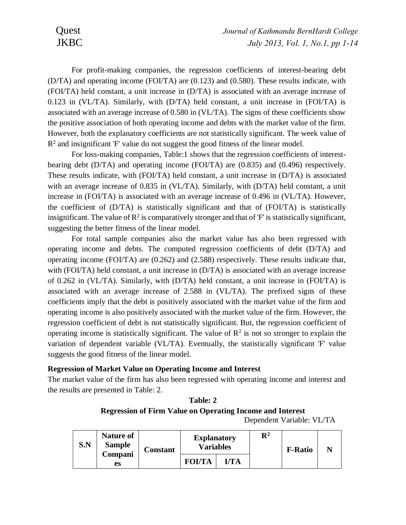For profit-making companies, the regression coefficients of interest-bearing debt (D/TA) and operating income (FOI/TA) are (0.123) and (0.580). These results indicate, with (FOI/TA) held constant, a unit increase in (D/TA) is associated with an average increase of 0.123 in (VL/TA). Similarly, with (D/TA) held constant, a unit increase in (FOI/TA) is associated with an average increase of 0.580 in (VL/TA). The signs of these coefficients show the positive association of both operating income and debts with the market value of the firm. However, both the explanatory coefficients are not statistically significant. The week value of  $R<sup>2</sup>$  and insignificant 'F' value do not suggest the good fitness of the linear model.

For loss-making companies, Table:1 shows that the regression coefficients of interestbearing debt (D/TA) and operating income (FOI/TA) are (0.835) and (0.496) respectively. These results indicate, with (FOI/TA) held constant, a unit increase in (D/TA) is associated with an average increase of 0.835 in (VL/TA). Similarly, with (D/TA) held constant, a unit increase in (FOI/TA) is associated with an average increase of 0.496 in (VL/TA). However, the coefficient of (D/TA) is statistically significant and that of (FOI/TA) is statistically insignificant. The value of  $\mathbb{R}^2$  is comparatively stronger and that of 'F' is statistically significant, suggesting the better fitness of the linear model.

For total sample companies also the market value has also been regressed with operating income and debts. The computed regression coefficients of debt (D/TA) and operating income (FOI/TA) are (0.262) and (2.588) respectively. These results indicate that, with (FOI/TA) held constant, a unit increase in (D/TA) is associated with an average increase of 0.262 in (VL/TA). Similarly, with (D/TA) held constant, a unit increase in (FOI/TA) is associated with an average increase of 2.588 in (VL/TA). The prefixed signs of these coefficients imply that the debt is positively associated with the market value of the firm and operating income is also positively associated with the market value of the firm. However, the regression coefficient of debt is not statistically significant. But, the regression coefficient of operating income is statistically significant. The value of  $\mathbb{R}^2$  is not so stronger to explain the variation of dependent variable (VL/TA). Eventually, the statistically significant 'F' value suggests the good fitness of the linear model.

## **Regression of Market Value on Operating Income and Interest**

The market value of the firm has also been regressed with operating income and interest and the results are presented in Table: 2.

| Table: 2                                                         |                           |  |  |  |
|------------------------------------------------------------------|---------------------------|--|--|--|
| <b>Regression of Firm Value on Operating Income and Interest</b> |                           |  |  |  |
|                                                                  | Dependent Variable: VL/TA |  |  |  |

| S.N           | <b>Nature of</b><br><b>Sample</b> | Constant | <b>Explanatory</b><br><b>Variables</b> |  | $\mathbf{R}^2$ | <b>F-Ratio</b> |  |
|---------------|-----------------------------------|----------|----------------------------------------|--|----------------|----------------|--|
| Compani<br>es | <b>FOI/TA</b>                     | I/TA     |                                        |  |                |                |  |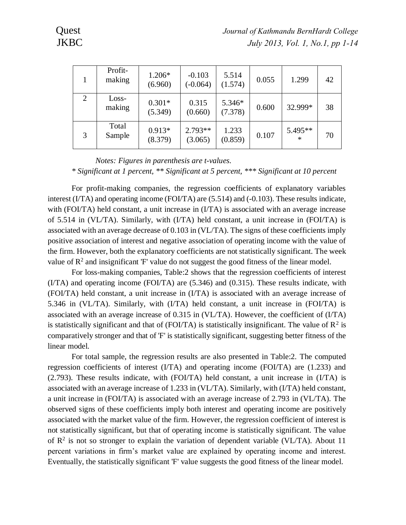| Profit-<br>making | 1.206*<br>(6.960)   | $-0.103$<br>$(-0.064)$ | 5.514<br>(1.574)  | 0.055 | 1.299             | 42 |
|-------------------|---------------------|------------------------|-------------------|-------|-------------------|----|
| Loss-<br>making   | $0.301*$<br>(5.349) | 0.315<br>(0.660)       | 5.346*<br>(7.378) | 0.600 | 32.999*           | 38 |
| Total<br>Sample   | $0.913*$<br>(8.379) | $2.793**$<br>(3.065)   | 1.233<br>(0.859)  | 0.107 | 5.495**<br>$\ast$ | 70 |
|                   |                     |                        |                   |       |                   |    |

*Notes: Figures in parenthesis are t-values. \* Significant at 1 percent, \*\* Significant at 5 percent, \*\*\* Significant at 10 percent*

For profit-making companies, the regression coefficients of explanatory variables interest (I/TA) and operating income (FOI/TA) are (5.514) and (-0.103). These results indicate, with (FOI/TA) held constant, a unit increase in (I/TA) is associated with an average increase of 5.514 in (VL/TA). Similarly, with (I/TA) held constant, a unit increase in (FOI/TA) is associated with an average decrease of 0.103 in (VL/TA). The signs of these coefficients imply positive association of interest and negative association of operating income with the value of the firm. However, both the explanatory coefficients are not statistically significant. The week value of  $\mathbb{R}^2$  and insignificant 'F' value do not suggest the good fitness of the linear model.

For loss-making companies, Table:2 shows that the regression coefficients of interest (I/TA) and operating income (FOI/TA) are (5.346) and (0.315). These results indicate, with (FOI/TA) held constant, a unit increase in (I/TA) is associated with an average increase of 5.346 in (VL/TA). Similarly, with (I/TA) held constant, a unit increase in (FOI/TA) is associated with an average increase of 0.315 in (VL/TA). However, the coefficient of (I/TA) is statistically significant and that of (FOI/TA) is statistically insignificant. The value of  $\mathbb{R}^2$  is comparatively stronger and that of 'F' is statistically significant, suggesting better fitness of the linear model.

For total sample, the regression results are also presented in Table:2. The computed regression coefficients of interest (I/TA) and operating income (FOI/TA) are (1.233) and (2.793). These results indicate, with (FOI/TA) held constant, a unit increase in (I/TA) is associated with an average increase of 1.233 in (VL/TA). Similarly, with (I/TA) held constant, a unit increase in (FOI/TA) is associated with an average increase of 2.793 in (VL/TA). The observed signs of these coefficients imply both interest and operating income are positively associated with the market value of the firm. However, the regression coefficient of interest is not statistically significant, but that of operating income is statistically significant. The value of  $\mathbb{R}^2$  is not so stronger to explain the variation of dependent variable (VL/TA). About 11 percent variations in firm's market value are explained by operating income and interest. Eventually, the statistically significant 'F' value suggests the good fitness of the linear model.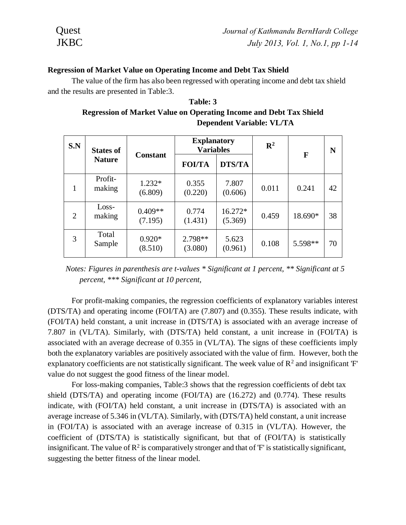#### **Regression of Market Value on Operating Income and Debt Tax Shield**

The value of the firm has also been regressed with operating income and debt tax shield and the results are presented in Table:3.

# **Table: 3 Regression of Market Value on Operating Income and Debt Tax Shield Dependent Variable: VL/TA**

| S.N | <b>States of</b>  | <b>Constant</b>      | <b>Explanatory</b><br><b>Variables</b> |                      | $\mathbb{R}^2$ |         |    | F | N |
|-----|-------------------|----------------------|----------------------------------------|----------------------|----------------|---------|----|---|---|
|     | <b>Nature</b>     |                      | <b>FOI/TA</b>                          | <b>DTS/TA</b>        |                |         |    |   |   |
| 1   | Profit-<br>making | $1.232*$<br>(6.809)  | 0.355<br>(0.220)                       | 7.807<br>(0.606)     | 0.011          | 0.241   | 42 |   |   |
| 2   | Loss-<br>making   | $0.409**$<br>(7.195) | 0.774<br>(1.431)                       | $16.272*$<br>(5.369) | 0.459          | 18.690* | 38 |   |   |
| 3   | Total<br>Sample   | $0.920*$<br>(8.510)  | 2.798**<br>(3.080)                     | 5.623<br>(0.961)     | 0.108          | 5.598** | 70 |   |   |

 *Notes: Figures in parenthesis are t-values \* Significant at 1 percent, \*\* Significant at 5 percent, \*\*\* Significant at 10 percent,*

For profit-making companies, the regression coefficients of explanatory variables interest (DTS/TA) and operating income (FOI/TA) are (7.807) and (0.355). These results indicate, with (FOI/TA) held constant, a unit increase in (DTS/TA) is associated with an average increase of 7.807 in (VL/TA). Similarly, with (DTS/TA) held constant, a unit increase in (FOI/TA) is associated with an average decrease of 0.355 in (VL/TA). The signs of these coefficients imply both the explanatory variables are positively associated with the value of firm. However, both the explanatory coefficients are not statistically significant. The week value of  $\mathbb{R}^2$  and insignificant 'F' value do not suggest the good fitness of the linear model.

For loss-making companies, Table:3 shows that the regression coefficients of debt tax shield (DTS/TA) and operating income (FOI/TA) are (16.272) and (0.774). These results indicate, with (FOI/TA) held constant, a unit increase in (DTS/TA) is associated with an average increase of 5.346 in (VL/TA). Similarly, with (DTS/TA) held constant, a unit increase in (FOI/TA) is associated with an average increase of 0.315 in (VL/TA). However, the coefficient of (DTS/TA) is statistically significant, but that of (FOI/TA) is statistically insignificant. The value of  $\mathbb{R}^2$  is comparatively stronger and that of 'F' is statistically significant, suggesting the better fitness of the linear model.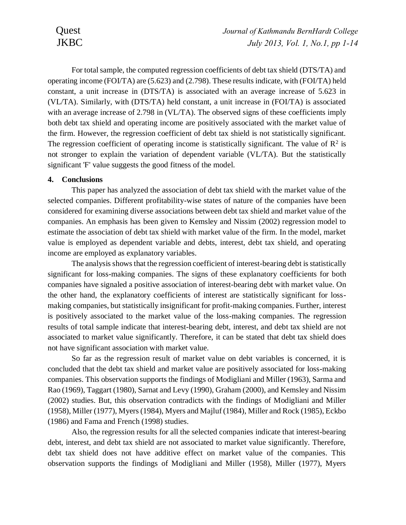For total sample, the computed regression coefficients of debt tax shield (DTS/TA) and operating income (FOI/TA) are (5.623) and (2.798). These results indicate, with (FOI/TA) held constant, a unit increase in (DTS/TA) is associated with an average increase of 5.623 in (VL/TA). Similarly, with (DTS/TA) held constant, a unit increase in (FOI/TA) is associated with an average increase of 2.798 in (VL/TA). The observed signs of these coefficients imply both debt tax shield and operating income are positively associated with the market value of the firm. However, the regression coefficient of debt tax shield is not statistically significant. The regression coefficient of operating income is statistically significant. The value of  $\mathbb{R}^2$  is not stronger to explain the variation of dependent variable (VL/TA). But the statistically significant 'F' value suggests the good fitness of the model.

### **4. Conclusions**

This paper has analyzed the association of debt tax shield with the market value of the selected companies. Different profitability-wise states of nature of the companies have been considered for examining diverse associations between debt tax shield and market value of the companies. An emphasis has been given to Kemsley and Nissim (2002) regression model to estimate the association of debt tax shield with market value of the firm. In the model, market value is employed as dependent variable and debts, interest, debt tax shield, and operating income are employed as explanatory variables.

The analysis shows that the regression coefficient of interest-bearing debt is statistically significant for loss-making companies. The signs of these explanatory coefficients for both companies have signaled a positive association of interest-bearing debt with market value. On the other hand, the explanatory coefficients of interest are statistically significant for lossmaking companies, but statistically insignificant for profit-making companies. Further, interest is positively associated to the market value of the loss-making companies. The regression results of total sample indicate that interest-bearing debt, interest, and debt tax shield are not associated to market value significantly. Therefore, it can be stated that debt tax shield does not have significant association with market value.

So far as the regression result of market value on debt variables is concerned, it is concluded that the debt tax shield and market value are positively associated for loss-making companies. This observation supports the findings of Modigliani and Miller (1963), Sarma and Rao (1969), Taggart (1980), Sarnat and Levy (1990), Graham (2000), and Kemsley and Nissim (2002) studies. But, this observation contradicts with the findings of Modigliani and Miller (1958), Miller (1977), Myers (1984), Myers and Majluf (1984), Miller and Rock (1985), Eckbo (1986) and Fama and French (1998) studies.

Also, the regression results for all the selected companies indicate that interest-bearing debt, interest, and debt tax shield are not associated to market value significantly. Therefore, debt tax shield does not have additive effect on market value of the companies. This observation supports the findings of Modigliani and Miller (1958), Miller (1977), Myers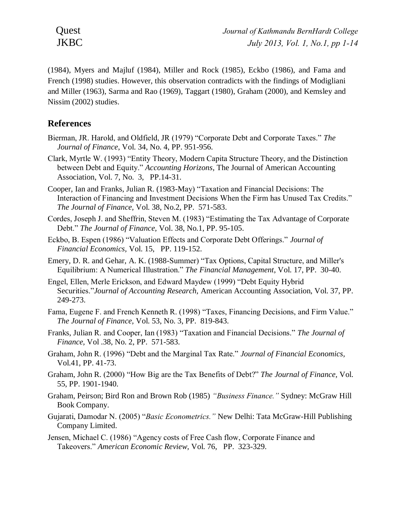(1984), Myers and Majluf (1984), Miller and Rock (1985), Eckbo (1986), and Fama and French (1998) studies. However, this observation contradicts with the findings of Modigliani and Miller (1963), Sarma and Rao (1969), Taggart (1980), Graham (2000), and Kemsley and Nissim (2002) studies.

# **References**

- Bierman, JR. Harold, and Oldfield, JR (1979) "Corporate Debt and Corporate Taxes." *The Journal of Finance*, Vol. 34, No. 4, PP. 951-956.
- Clark, Myrtle W. (1993) "Entity Theory, Modern Capita Structure Theory, and the Distinction between Debt and Equity." *Accounting Horizons,* The Journal of American Accounting Association, Vol. 7, No. 3, PP.14-31.
- Cooper, Ian and Franks, Julian R. (1983-May) "Taxation and Financial Decisions: The Interaction of Financing and Investment Decisions When the Firm has Unused Tax Credits." *The Journal of Finance,* Vol. 38, No.2, PP. 571-583.
- Cordes, Joseph J. and Sheffrin, Steven M. (1983) "Estimating the Tax Advantage of Corporate Debt." *The Journal of Finance,* Vol. 38, No.1, PP. 95-105.
- Eckbo, B. Espen (1986) "Valuation Effects and Corporate Debt Offerings." *Journal of Financial Economics,* Vol. 15, PP. 119-152.
- Emery, D. R. and Gehar, A. K. (1988-Summer) "Tax Options, Capital Structure, and Miller's Equilibrium: A Numerical Illustration." *The Financial Management*, Vol. 17, PP. 30-40.
- Engel, Ellen, Merle Erickson, and Edward Maydew (1999) "Debt Equity Hybrid Securities."*Journal of Accounting Research,* American Accounting Association, Vol. 37, PP. 249-273.
- Fama, Eugene F. and French Kenneth R. (1998) "Taxes, Financing Decisions, and Firm Value." *The Journal of Finance,* Vol. 53, No. 3, PP. 819-843.
- Franks, Julian R. and Cooper, Ian (1983) "Taxation and Financial Decisions." *The Journal of Finance,* Vol .38, No. 2, PP. 571-583.
- Graham, John R. (1996) "Debt and the Marginal Tax Rate." *Journal of Financial Economics,* Vol.41, PP. 41-73.
- Graham, John R. (2000) "How Big are the Tax Benefits of Debt?" *The Journal of Finance,* Vol. 55, PP. 1901-1940.
- Graham, Peirson; Bird Ron and Brown Rob (1985) *"Business Finance."* Sydney: McGraw Hill Book Company.
- Gujarati, Damodar N. (2005) "*Basic Econometrics."* New Delhi: Tata McGraw-Hill Publishing Company Limited.
- Jensen, Michael C. (1986) "Agency costs of Free Cash flow, Corporate Finance and Takeovers." *American Economic Review,* Vol. 76, PP. 323-329.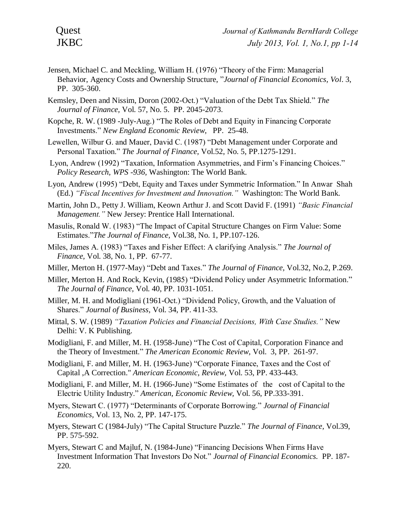- Jensen, Michael C. and Meckling, William H. (1976) "Theory of the Firm: Managerial Behavior, Agency Costs and Ownership Structure, "*Journal of Financial Economics, Vol*. 3, PP. 305-360.
- Kemsley, Deen and Nissim, Doron (2002-Oct.) "Valuation of the Debt Tax Shield." *The Journal of Finance,* Vol. 57, No. 5. PP. 2045-2073.
- Kopche, R. W. (1989 -July-Aug.) "The Roles of Debt and Equity in Financing Corporate Investments." *New England Economic Review,* PP. 25-48.
- Lewellen, Wilbur G. and Mauer, David C. (1987) "Debt Management under Corporate and Personal Taxation." *The Journal of Finance,* Vol.52, No. 5, PP.1275-1291.
- Lyon, Andrew (1992) "Taxation, Information Asymmetries, and Firm's Financing Choices." *Policy Research, WPS -936,* Washington: The World Bank.
- Lyon, Andrew (1995) "Debt, Equity and Taxes under Symmetric Information." In Anwar Shah (Ed.) *"Fiscal Incentives for Investment and Innovation."* Washington: The World Bank.
- Martin, John D., Petty J. William, Keown Arthur J. and Scott David F. (1991) *"Basic Financial Management."* New Jersey: Prentice Hall International.
- Masulis, Ronald W. (1983) "The Impact of Capital Structure Changes on Firm Value: Some Estimates."*The Journal of Finance,* Vol.38, No. 1, PP.107-126.
- Miles, James A. (1983) "Taxes and Fisher Effect: A clarifying Analysis." *The Journal of Finance,* Vol. 38, No. 1, PP. 67-77.
- Miller, Merton H. (1977-May) "Debt and Taxes." *The Journal of Finance,* Vol.32, No.2, P.269.
- Miller, Merton H. And Rock, Kevin, (1985) "Dividend Policy under Asymmetric Information." *The Journal of Finance,* Vol. 40, PP. 1031-1051.
- Miller, M. H. and Modigliani (1961-Oct.) "Dividend Policy, Growth, and the Valuation of Shares." *Journal of Business,* Vol. 34, PP. 411-33.
- Mittal, S. W. (1989) *"Taxation Policies and Financial Decisions, With Case Studies."* New Delhi: V. K Publishing.
- Modigliani, F. and Miller, M. H. (1958-June) "The Cost of Capital, Corporation Finance and the Theory of Investment." *The American Economic Review,* Vol. 3, PP. 261-97.
- Modigliani, F. and Miller, M. H. (1963-June) "Corporate Finance, Taxes and the Cost of Capital ,A Correction." *American Economic, Review,* Vol. 53, PP. 433-443.
- Modigliani, F. and Miller, M. H. (1966-June) "Some Estimates of the cost of Capital to the Electric Utility Industry." *American, Economic Review,* Vol. 56, PP.333-391.
- Myers, Stewart C. (1977) "Determinants of Corporate Borrowing." *Journal of Financial Economics,* Vol. 13, No. 2, PP. 147-175.
- Myers, Stewart C (1984-July) "The Capital Structure Puzzle." *The Journal of Finance,* Vol.39, PP. 575-592.
- Myers, Stewart C and Majluf, N. (1984-June) "Financing Decisions When Firms Have Investment Information That Investors Do Not." *Journal of Financial Economics.* PP. 187- 220.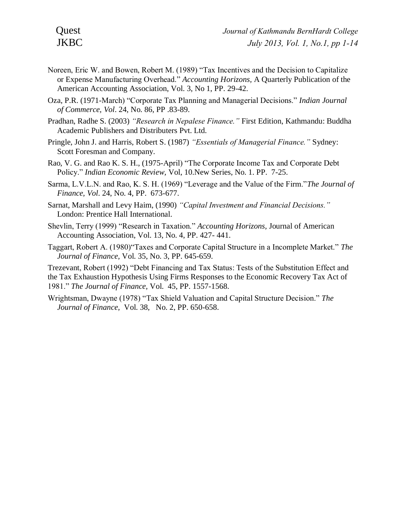- Noreen, Eric W. and Bowen, Robert M. (1989) "Tax Incentives and the Decision to Capitalize or Expense Manufacturing Overhead." *Accounting Horizons,* A Quarterly Publication of the American Accounting Association, Vol. 3, No 1, PP. 29-42.
- Oza, P.R. (1971-March) "Corporate Tax Planning and Managerial Decisions." *Indian Journal of Commerce, Vol*. 24, No. 86, PP .83-89.
- Pradhan, Radhe S. (2003) *"Research in Nepalese Finance."* First Edition, Kathmandu: Buddha Academic Publishers and Distributers Pvt. Ltd.
- Pringle, John J. and Harris, Robert S. (1987) *"Essentials of Managerial Finance."* Sydney: Scott Foresman and Company.
- Rao, V. G. and Rao K. S. H., (1975-April) "The Corporate Income Tax and Corporate Debt Policy." *Indian Economic Review,* Vol, 10.New Series, No. 1. PP. 7-25.
- Sarma, L.V.L.N. and Rao, K. S. H. (1969) "Leverage and the Value of the Firm."*The Journal of Finance, Vol*. 24, No. 4, PP. 673-677.
- Sarnat, Marshall and Levy Haim, (1990) *"Capital Investment and Financial Decisions."* London: Prentice Hall International.
- Shevlin, Terry (1999) "Research in Taxation." *Accounting Horizons,* Journal of American Accounting Association, Vol. 13, No. 4, PP. 427- 441.
- Taggart, Robert A. (1980)"Taxes and Corporate Capital Structure in a Incomplete Market." *The Journal of Finance,* Vol. 35, No. 3, PP. 645-659.

Trezevant, Robert (1992) "Debt Financing and Tax Status: Tests of the Substitution Effect and the Tax Exhaustion Hypothesis Using Firms Responses to the Economic Recovery Tax Act of 1981." *The Journal of Finance,* Vol. 45, PP. 1557-1568.

Wrightsman, Dwayne (1978) "Tax Shield Valuation and Capital Structure Decision." *The Journal of Finance,* Vol. 38, No. 2, PP. 650-658.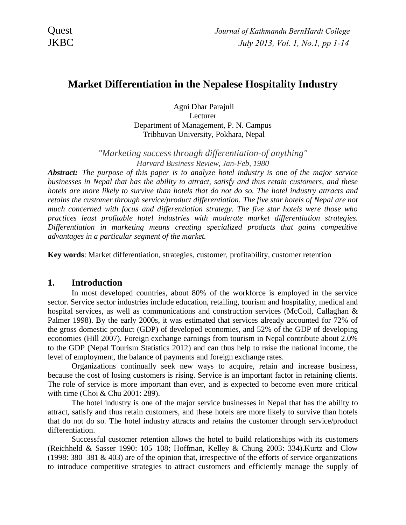# **Market Differentiation in the Nepalese Hospitality Industry**

Agni Dhar Parajuli Lecturer Department of Management, P. N. Campus Tribhuvan University, Pokhara, Nepal

*"Marketing success through differentiation-of anything" Harvard Business Review, Jan-Feb, 1980*

*Abstract: The purpose of this paper is to analyze hotel industry is one of the major service businesses in Nepal that has the ability to attract, satisfy and thus retain customers, and these hotels are more likely to survive than hotels that do not do so. The hotel industry attracts and retains the customer through service/product differentiation. The five star hotels of Nepal are not much concerned with focus and differentiation strategy. The five star hotels were those who practices least profitable hotel industries with moderate market differentiation strategies. Differentiation in marketing means creating specialized products that gains competitive advantages in a particular segment of the market.*

**Key words**: Market differentiation, strategies, customer, profitability, customer retention

# **1. Introduction**

In most developed countries, about 80% of the workforce is employed in the service sector. Service sector industries include education, retailing, tourism and hospitality, medical and hospital services, as well as communications and construction services (McColl, Callaghan & Palmer 1998). By the early 2000s, it was estimated that services already accounted for 72% of the gross domestic product (GDP) of developed economies, and 52% of the GDP of developing economies (Hill 2007). Foreign exchange earnings from tourism in Nepal contribute about 2.0% to the GDP (Nepal Tourism Statistics 2012) and can thus help to raise the national income, the level of employment, the balance of payments and foreign exchange rates.

Organizations continually seek new ways to acquire, retain and increase business, because the cost of losing customers is rising. Service is an important factor in retaining clients. The role of service is more important than ever, and is expected to become even more critical with time (Choi & Chu 2001: 289).

The hotel industry is one of the major service businesses in Nepal that has the ability to attract, satisfy and thus retain customers, and these hotels are more likely to survive than hotels that do not do so. The hotel industry attracts and retains the customer through service/product differentiation.

Successful customer retention allows the hotel to build relationships with its customers (Reichheld & Sasser 1990: 105–108; Hoffman, Kelley & Chung 2003: 334).Kurtz and Clow (1998: 380–381 & 403) are of the opinion that, irrespective of the efforts of service organizations to introduce competitive strategies to attract customers and efficiently manage the supply of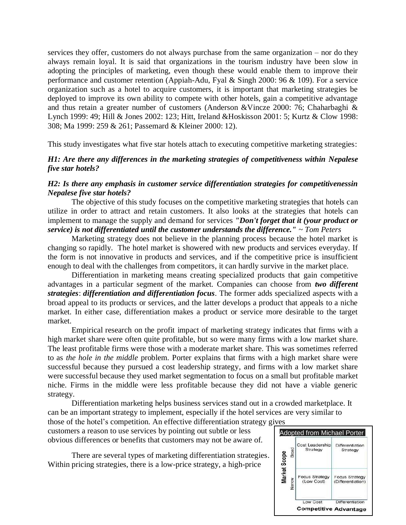services they offer, customers do not always purchase from the same organization – nor do they always remain loyal. It is said that organizations in the tourism industry have been slow in adopting the principles of marketing, even though these would enable them to improve their performance and customer retention (Appiah-Adu, Fyal & Singh 2000: 96 & 109). For a service organization such as a hotel to acquire customers, it is important that marketing strategies be deployed to improve its own ability to compete with other hotels, gain a competitive advantage and thus retain a greater number of customers (Anderson &Vincze 2000: 76; Chaharbaghi & Lynch 1999: 49; Hill & Jones 2002: 123; Hitt, Ireland &Hoskisson 2001: 5; Kurtz & Clow 1998: 308; Ma 1999: 259 & 261; Passemard & Kleiner 2000: 12).

This study investigates what five star hotels attach to executing competitive marketing strategies:

### *H1: Are there any differences in the marketing strategies of competitiveness within Nepalese five star hotels?*

### *H2: Is there any emphasis in customer service differentiation strategies for competitivenessin Nepalese five star hotels?*

The objective of this study focuses on the competitive marketing strategies that hotels can utilize in order to attract and retain customers. It also looks at the strategies that hotels can implement to manage the supply and demand for services *"Don't forget that it (your product or service) is not differentiated until the customer understands the difference." ~ Tom Peters*

Marketing strategy does not believe in the planning process because the hotel market is changing so rapidly. The hotel market is showered with new products and services everyday. If the form is not innovative in products and services, and if the competitive price is insufficient enough to deal with the challenges from competitors, it can hardly survive in the market place.

Differentiation in marketing means creating specialized products that gain competitive advantages in a particular segment of the market. Companies can choose from *two different strategies*: *differentiation and differentiation focus*. The former adds specialized aspects with a broad appeal to its products or services, and the latter develops a product that appeals to a niche market. In either case, differentiation makes a product or service more desirable to the target market.

Empirical research on the profit impact of marketing strategy indicates that firms with a high market share were often quite profitable, but so were many firms with a low market share. The least profitable firms were those with a moderate market share. This was sometimes referred to as *the hole in the middle* problem. Porter explains that firms with a high market share were successful because they pursued a cost leadership strategy, and firms with a low market share were successful because they used market segmentation to focus on a small but profitable market niche. Firms in the middle were less profitable because they did not have a viable generic strategy.

Differentiation marketing helps business services stand out in a crowded marketplace. It can be an important strategy to implement, especially if the hotel services are very similar to

those of the hotel's competition. An effective differentiation strategy gives customers a reason to use services by pointing out subtle or less obvious differences or benefits that customers may not be aware of.

There are several types of marketing differentiation strategies. Within pricing strategies, there is a low-price strategy, a high-price

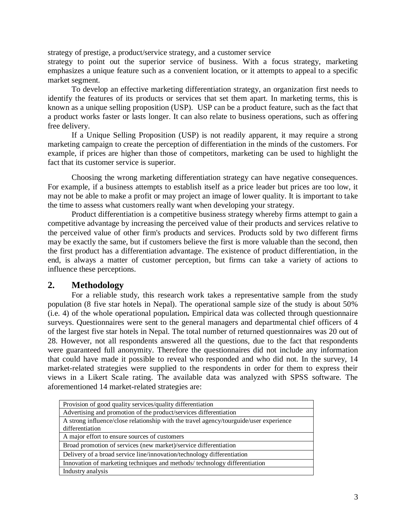strategy of prestige, a product/service strategy, and a customer service

strategy to point out the superior service of business. With a focus strategy, marketing emphasizes a unique feature such as a convenient location, or it attempts to appeal to a specific market segment.

To develop an effective marketing differentiation strategy, an organization first needs to identify the features of its products or services that set them apart. In marketing terms, this is known as a unique selling proposition (USP). USP can be a product feature, such as the fact that a product works faster or lasts longer. It can also relate to business operations, such as offering free delivery.

If a Unique Selling Proposition (USP) is not readily apparent, it may require a strong marketing campaign to create the perception of differentiation in the minds of the customers. For example, if prices are higher than those of competitors, marketing can be used to highlight the fact that its customer service is superior.

Choosing the wrong marketing differentiation strategy can have negative consequences. For example, if a business attempts to establish itself as a price leader but prices are too low, it may not be able to make a profit or may project an image of lower quality. It is important to take the time to assess what customers really want when developing your strategy.

Product differentiation is a competitive business strategy whereby firms attempt to gain a competitive advantage by increasing the perceived value of their products and services relative to the perceived value of other firm's products and services. Products sold by two different firms may be exactly the same, but if customers believe the first is more valuable than the second, then the first product has a differentiation advantage. The existence of product differentiation, in the end, is always a matter of customer perception, but firms can take a variety of actions to influence these perceptions.

# **2. Methodology**

For a reliable study, this research work takes a representative sample from the study population (8 five star hotels in Nepal). The operational sample size of the study is about 50% (i.e. 4) of the whole operational population**.** Empirical data was collected through questionnaire surveys. Questionnaires were sent to the general managers and departmental chief officers of 4 of the largest five star hotels in Nepal. The total number of returned questionnaires was 20 out of 28. However, not all respondents answered all the questions, due to the fact that respondents were guaranteed full anonymity. Therefore the questionnaires did not include any information that could have made it possible to reveal who responded and who did not. In the survey, 14 market-related strategies were supplied to the respondents in order for them to express their views in a Likert Scale rating. The available data was analyzed with SPSS software. The aforementioned 14 market-related strategies are:

| Provision of good quality services/quality differentiation                             |
|----------------------------------------------------------------------------------------|
| Advertising and promotion of the product/services differentiation                      |
| A strong influence/close relationship with the travel agency/tourguide/user experience |
| differentiation                                                                        |
| A major effort to ensure sources of customers                                          |
| Broad promotion of services (new market)/service differentiation                       |
| Delivery of a broad service line/innovation/technology differentiation                 |
| Innovation of marketing techniques and methods/technology differentiation              |
| Industry analysis                                                                      |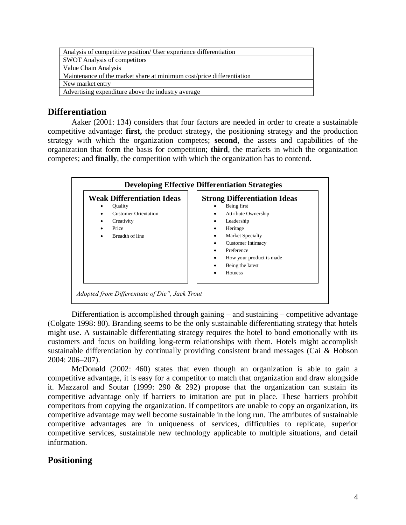| Analysis of competitive position/ User experience differentiation     |
|-----------------------------------------------------------------------|
| <b>SWOT</b> Analysis of competitors                                   |
| Value Chain Analysis                                                  |
| Maintenance of the market share at minimum cost/price differentiation |
| New market entry                                                      |
| Advertising expenditure above the industry average                    |

# **Differentiation**

Aaker (2001: 134) considers that four factors are needed in order to create a sustainable competitive advantage: **first,** the product strategy, the positioning strategy and the production strategy with which the organization competes; **second**, the assets and capabilities of the organization that form the basis for competition; **third**, the markets in which the organization competes; and **finally**, the competition with which the organization has to contend.



Differentiation is accomplished through gaining – and sustaining – competitive advantage (Colgate 1998: 80). Branding seems to be the only sustainable differentiating strategy that hotels might use. A sustainable differentiating strategy requires the hotel to bond emotionally with its customers and focus on building long-term relationships with them. Hotels might accomplish sustainable differentiation by continually providing consistent brand messages (Cai & Hobson 2004: 206–207).

McDonald (2002: 460) states that even though an organization is able to gain a competitive advantage, it is easy for a competitor to match that organization and draw alongside it. Mazzarol and Soutar (1999: 290  $& 292$ ) propose that the organization can sustain its competitive advantage only if barriers to imitation are put in place. These barriers prohibit competitors from copying the organization. If competitors are unable to copy an organization, its competitive advantage may well become sustainable in the long run. The attributes of sustainable competitive advantages are in uniqueness of services, difficulties to replicate, superior competitive services, sustainable new technology applicable to multiple situations, and detail information.

# **Positioning**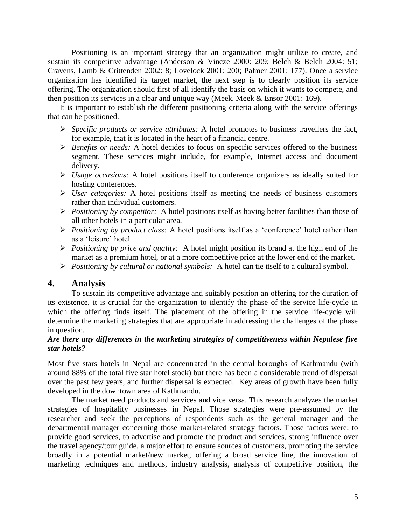Positioning is an important strategy that an organization might utilize to create, and sustain its competitive advantage (Anderson & Vincze 2000: 209; Belch & Belch 2004: 51; Cravens, Lamb & Crittenden 2002: 8; Lovelock 2001: 200; Palmer 2001: 177). Once a service organization has identified its target market, the next step is to clearly position its service offering. The organization should first of all identify the basis on which it wants to compete, and then position its services in a clear and unique way (Meek, Meek & Ensor 2001: 169).

It is important to establish the different positioning criteria along with the service offerings that can be positioned.

- ➢ *Specific products or service attributes:* A hotel promotes to business travellers the fact, for example, that it is located in the heart of a financial centre.
- ➢ *Benefits or needs:* A hotel decides to focus on specific services offered to the business segment. These services might include, for example, Internet access and document delivery.
- ➢ *Usage occasions:* A hotel positions itself to conference organizers as ideally suited for hosting conferences.
- ➢ *User categories:* A hotel positions itself as meeting the needs of business customers rather than individual customers.
- ➢ *Positioning by competitor:* A hotel positions itself as having better facilities than those of all other hotels in a particular area.
- ➢ *Positioning by product class:* A hotel positions itself as a 'conference' hotel rather than as a 'leisure' hotel.
- ➢ *Positioning by price and quality:* A hotel might position its brand at the high end of the market as a premium hotel, or at a more competitive price at the lower end of the market.
- ➢ *Positioning by cultural or national symbols:* A hotel can tie itself to a cultural symbol.

# **4. Analysis**

To sustain its competitive advantage and suitably position an offering for the duration of its existence, it is crucial for the organization to identify the phase of the service life-cycle in which the offering finds itself. The placement of the offering in the service life-cycle will determine the marketing strategies that are appropriate in addressing the challenges of the phase in question.

## *Are there any differences in the marketing strategies of competitiveness within Nepalese five star hotels?*

Most five stars hotels in Nepal are concentrated in the central boroughs of Kathmandu (with around 88% of the total five star hotel stock) but there has been a considerable trend of dispersal over the past few years, and further dispersal is expected. Key areas of growth have been fully developed in the downtown area of Kathmandu.

The market need products and services and vice versa. This research analyzes the market strategies of hospitality businesses in Nepal. Those strategies were pre-assumed by the researcher and seek the perceptions of respondents such as the general manager and the departmental manager concerning those market-related strategy factors. Those factors were: to provide good services, to advertise and promote the product and services, strong influence over the travel agency/tour guide, a major effort to ensure sources of customers, promoting the service broadly in a potential market/new market, offering a broad service line, the innovation of marketing techniques and methods, industry analysis, analysis of competitive position, the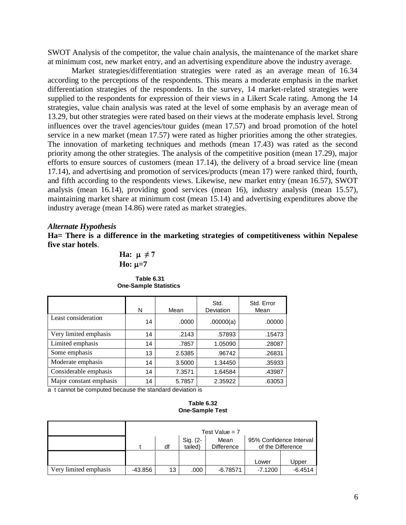SWOT Analysis of the competitor, the value chain analysis, the maintenance of the market share at minimum cost, new market entry, and an advertising expenditure above the industry average.

Market strategies/differentiation strategies were rated as an average mean of 16.34 according to the perceptions of the respondents. This means a moderate emphasis in the market differentiation strategies of the respondents. In the survey, 14 market-related strategies were supplied to the respondents for expression of their views in a Likert Scale rating. Among the 14 strategies, value chain analysis was rated at the level of some emphasis by an average mean of 13.29, but other strategies were rated based on their views at the moderate emphasis level. Strong influences over the travel agencies/tour guides (mean 17.57) and broad promotion of the hotel service in a new market (mean 17.57) were rated as higher priorities among the other strategies. The innovation of marketing techniques and methods (mean 17.43) was rated as the second priority among the other strategies. The analysis of the competitive position (mean 17.29), major efforts to ensure sources of customers (mean 17.14), the delivery of a broad service line (mean 17.14), and advertising and promotion of services/products (mean 17) were ranked third, fourth, and fifth according to the respondents views. Likewise, new market entry (mean 16.57), SWOT analysis (mean 16.14), providing good services (mean 16), industry analysis (mean 15.57), maintaining market share at minimum cost (mean 15.14) and advertising expenditures above the industry average (mean 14.86) were rated as market strategies.

#### *Alternate Hypothesis*

**Ha= There is a difference in the marketing strategies of competitiveness within Nepalese five star hotels**.

Ha: 
$$
\mu \neq 7
$$
  
Ho:  $\mu=7$ 

| Table 6.31                   |
|------------------------------|
| <b>One-Sample Statistics</b> |

|                         | N  | Mean   | Std.<br>Deviation | Std. Error<br>Mean |
|-------------------------|----|--------|-------------------|--------------------|
| Least consideration     | 14 | .0000  | .00000(a)         | .00000             |
| Very limited emphasis   | 14 | .2143  | .57893            | .15473             |
| Limited emphasis        | 14 | .7857  | 1.05090           | .28087             |
| Some emphasis           | 13 | 2.5385 | .96742            | .26831             |
| Moderate emphasis       | 14 | 3.5000 | 1.34450           | .35933             |
| Considerable emphasis   | 14 | 7.3571 | 1.64584           | .43987             |
| Major constant emphasis | 14 | 5.7857 | 2.35922           | .63053             |

a t cannot be computed because the standard deviation is

#### **Table 6.32 One-Sample Test**

|                       | Test Value = $7$ |    |                     |                           |           |                                              |  |
|-----------------------|------------------|----|---------------------|---------------------------|-----------|----------------------------------------------|--|
|                       |                  | df | Sig. (2-<br>tailed) | Mean<br><b>Difference</b> |           | 95% Confidence Interval<br>of the Difference |  |
|                       |                  |    |                     |                           | Lower     | Upper                                        |  |
| Very limited emphasis | $-43.856$        | 13 | .000                | $-6.78571$                | $-7.1200$ | $-6.4514$                                    |  |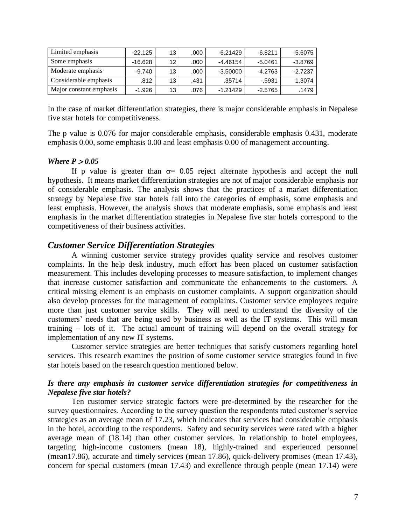| Limited emphasis        | $-22.125$ | 13 | .000 | $-6.21429$ | $-6.8211$ | $-5.6075$ |
|-------------------------|-----------|----|------|------------|-----------|-----------|
| Some emphasis           | -16.628   | 12 | .000 | -4.46154   | $-5.0461$ | $-3.8769$ |
| Moderate emphasis       | $-9.740$  | 13 | .000 | $-3.50000$ | -4.2763   | $-2.7237$ |
| Considerable emphasis   | .812      | 13 | .431 | .35714     | $-5931$   | 1.3074    |
| Major constant emphasis | $-1.926$  | 13 | .076 | $-1.21429$ | $-2.5765$ | .1479     |

In the case of market differentiation strategies, there is major considerable emphasis in Nepalese five star hotels for competitiveness.

The p value is 0.076 for major considerable emphasis, considerable emphasis 0.431, moderate emphasis 0.00, some emphasis 0.00 and least emphasis 0.00 of management accounting.

#### *Where*  $P > 0.05$

If p value is greater than  $\sigma$  = 0.05 reject alternate hypothesis and accept the null hypothesis. It means market differentiation strategies are not of major considerable emphasis nor of considerable emphasis. The analysis shows that the practices of a market differentiation strategy by Nepalese five star hotels fall into the categories of emphasis, some emphasis and least emphasis. However, the analysis shows that moderate emphasis, some emphasis and least emphasis in the market differentiation strategies in Nepalese five star hotels correspond to the competitiveness of their business activities.

### *Customer Service Differentiation Strategies*

A winning customer service strategy provides quality service and resolves customer complaints. In the help desk industry, much effort has been placed on customer satisfaction measurement. This includes developing processes to measure satisfaction, to implement changes that increase customer satisfaction and communicate the enhancements to the customers. A critical missing element is an emphasis on customer complaints. A support organization should also develop processes for the management of complaints. Customer service employees require more than just customer service skills. They will need to understand the diversity of the customers' needs that are being used by business as well as the IT systems. This will mean training – lots of it. The actual amount of training will depend on the overall strategy for implementation of any new IT systems.

Customer service strategies are better techniques that satisfy customers regarding hotel services. This research examines the position of some customer service strategies found in five star hotels based on the research question mentioned below.

#### *Is there any emphasis in customer service differentiation strategies for competitiveness in Nepalese five star hotels?*

Ten customer service strategic factors were pre-determined by the researcher for the survey questionnaires. According to the survey question the respondents rated customer's service strategies as an average mean of 17.23, which indicates that services had considerable emphasis in the hotel, according to the respondents. Safety and security services were rated with a higher average mean of (18.14) than other customer services. In relationship to hotel employees, targeting high-income customers (mean 18), highly-trained and experienced personnel (mean17.86), accurate and timely services (mean 17.86), quick-delivery promises (mean 17.43), concern for special customers (mean 17.43) and excellence through people (mean 17.14) were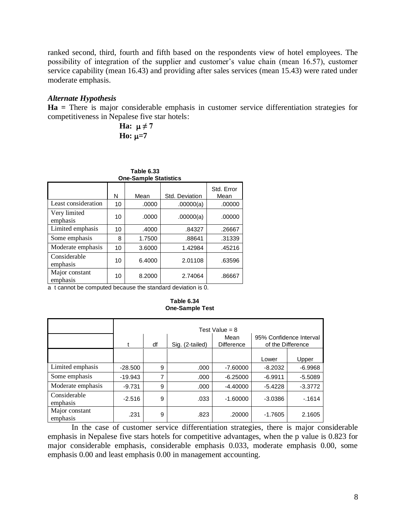ranked second, third, fourth and fifth based on the respondents view of hotel employees. The possibility of integration of the supplier and customer's value chain (mean 16.57), customer service capability (mean 16.43) and providing after sales services (mean 15.43) were rated under moderate emphasis.

## *Alternate Hypothesis*

**Ha =** There is major considerable emphasis in customer service differentiation strategies for competitiveness in Nepalese five star hotels:

> **Ha:**  $\mu \neq 7$  $H_0: \mu = 7$

| Table 6.33<br><b>One-Sample Statistics</b> |           |        |                               |                    |  |  |  |
|--------------------------------------------|-----------|--------|-------------------------------|--------------------|--|--|--|
|                                            | N         | Mean   | Std. Deviation                | Std. Error<br>Mean |  |  |  |
| Least consideration                        | 10        | .0000  | .00000(a)                     | .00000             |  |  |  |
| Very limited<br>emphasis                   | 10        | .0000  | .00000(a)                     | .00000             |  |  |  |
| Limited emphasis                           | 10        | .4000  | .84327                        | .26667             |  |  |  |
| Some emphasis                              | 8         | 1.7500 | .88641                        | .31339             |  |  |  |
| Moderate emphasis                          | 10        | 3.6000 | 1.42984                       | .45216             |  |  |  |
| Considerable<br>emphasis                   | 10        | 6.4000 | 2.01108                       | .63596             |  |  |  |
| Major constant<br>emphasis                 | 10<br>. . | 8.2000 | 2.74064<br>.<br>$\sim$ $\sim$ | .86667             |  |  |  |

a t cannot be computed because the standard deviation is 0.

|                            | Test Value = $8$ |    |                 |                           |                                              |           |  |  |
|----------------------------|------------------|----|-----------------|---------------------------|----------------------------------------------|-----------|--|--|
|                            | t                | df | Sig. (2-tailed) | Mean<br><b>Difference</b> | 95% Confidence Interval<br>of the Difference |           |  |  |
|                            |                  |    |                 |                           | Lower                                        | Upper     |  |  |
| Limited emphasis           | $-28.500$        | 9  | .000            | $-7.60000$                | $-8.2032$                                    | $-6.9968$ |  |  |
| Some emphasis              | $-19.943$        | 7  | .000            | $-6.25000$                | $-6.9911$                                    | $-5.5089$ |  |  |
| Moderate emphasis          | $-9.731$         | 9  | .000            | $-4.40000$                | $-5.4228$                                    | $-3.3772$ |  |  |
| Considerable<br>emphasis   | $-2.516$         | 9  | .033            | $-1.60000$                | $-3.0386$                                    | $-1614$   |  |  |
| Major constant<br>emphasis | .231             | 9  | .823            | .20000                    | $-1.7605$                                    | 2.1605    |  |  |

**Table 6.34 One-Sample Test**

In the case of customer service differentiation strategies, there is major considerable emphasis in Nepalese five stars hotels for competitive advantages, when the p value is 0.823 for major considerable emphasis, considerable emphasis 0.033, moderate emphasis 0.00, some emphasis 0.00 and least emphasis 0.00 in management accounting.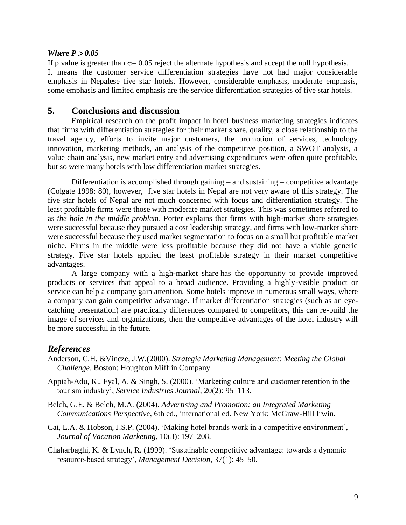#### *Where*  $P > 0.05$

If p value is greater than  $\sigma$  = 0.05 reject the alternate hypothesis and accept the null hypothesis. It means the customer service differentiation strategies have not had major considerable emphasis in Nepalese five star hotels. However, considerable emphasis, moderate emphasis, some emphasis and limited emphasis are the service differentiation strategies of five star hotels.

## **5. Conclusions and discussion**

Empirical research on the profit impact in hotel business marketing strategies indicates that firms with differentiation strategies for their market share, quality, a close relationship to the travel agency, efforts to invite major customers, the promotion of services, technology innovation, marketing methods, an analysis of the competitive position, a SWOT analysis, a value chain analysis, new market entry and advertising expenditures were often quite profitable, but so were many hotels with low differentiation market strategies.

Differentiation is accomplished through gaining – and sustaining – competitive advantage (Colgate 1998: 80), however, five star hotels in Nepal are not very aware of this strategy. The five star hotels of Nepal are not much concerned with focus and differentiation strategy. The least profitable firms were those with moderate market strategies. This was sometimes referred to as *the hole in the middle problem*. Porter explains that firms with high-market share strategies were successful because they pursued a cost leadership strategy, and firms with low-market share were successful because they used market segmentation to focus on a small but profitable market niche. Firms in the middle were less profitable because they did not have a viable generic strategy. Five star hotels applied the least profitable strategy in their market competitive advantages.

A large company with a high-market share has the opportunity to provide improved products or services that appeal to a broad audience. Providing a highly-visible product or service can help a company gain attention. Some hotels improve in numerous small ways, where a company can gain competitive advantage. If market differentiation strategies (such as an eyecatching presentation) are practically differences compared to competitors, this can re-build the image of services and organizations, then the competitive advantages of the hotel industry will be more successful in the future.

# *References*

- Anderson, C.H. &Vincze, J.W.(2000). *Strategic Marketing Management: Meeting the Global Challenge*. Boston: Houghton Mifflin Company.
- Appiah-Adu, K., Fyal, A. & Singh, S. (2000). 'Marketing culture and customer retention in the tourism industry', *Service Industries Journal*, 20(2): 95–113.
- Belch, G.E. & Belch, M.A. (2004). *Advertising and Promotion: an Integrated Marketing Communications Perspective*, 6th ed., international ed. New York: McGraw-Hill Irwin.
- Cai, L.A. & Hobson, J.S.P. (2004). 'Making hotel brands work in a competitive environment', *Journal of Vacation Marketing*, 10(3): 197–208.
- Chaharbaghi, K. & Lynch, R. (1999). 'Sustainable competitive advantage: towards a dynamic resource-based strategy', *Management Decision*, 37(1): 45–50.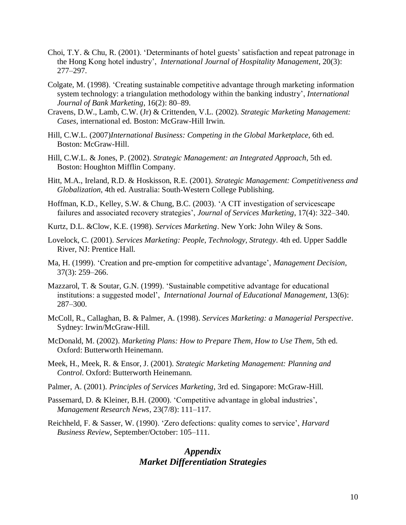- Choi, T.Y. & Chu, R. (2001). 'Determinants of hotel guests' satisfaction and repeat patronage in the Hong Kong hotel industry', *International Journal of Hospitality Management*, 20(3): 277–297.
- Colgate, M. (1998). 'Creating sustainable competitive advantage through marketing information system technology: a triangulation methodology within the banking industry', *International Journal of Bank Marketing*, 16(2): 80–89.
- Cravens, D.W., Lamb, C.W. (Jr) & Crittenden, V.L. (2002). *Strategic Marketing Management: Cases*, international ed. Boston: McGraw-Hill Irwin.
- Hill, C.W.L. (2007)*International Business: Competing in the Global Marketplace,* 6th ed. Boston: McGraw-Hill.
- Hill, C.W.L. & Jones, P. (2002). *Strategic Management: an Integrated Approach*, 5th ed. Boston: Houghton Mifflin Company.
- Hitt, M.A., Ireland, R.D. & Hoskisson, R.E. (2001). *Strategic Management: Competitiveness and Globalization*, 4th ed. Australia: South-Western College Publishing.
- Hoffman, K.D., Kelley, S.W. & Chung, B.C. (2003). 'A CIT investigation of servicescape failures and associated recovery strategies', *Journal of Services Marketing*, 17(4): 322–340.
- Kurtz, D.L. &Clow, K.E. (1998). *Services Marketing*. New York: John Wiley & Sons.
- Lovelock, C. (2001). *Services Marketing: People, Technology, Strategy*. 4th ed. Upper Saddle River, NJ: Prentice Hall.
- Ma, H. (1999). 'Creation and pre-emption for competitive advantage', *Management Decision*, 37(3): 259–266.
- Mazzarol, T. & Soutar, G.N. (1999). 'Sustainable competitive advantage for educational institutions: a suggested model', *International Journal of Educational Management*, 13(6): 287–300.
- McColl, R., Callaghan, B. & Palmer, A. (1998). *Services Marketing: a Managerial Perspective*. Sydney: Irwin/McGraw-Hill.
- McDonald, M. (2002). *Marketing Plans: How to Prepare Them, How to Use Them,* 5th ed. Oxford: Butterworth Heinemann.
- Meek, H., Meek, R. & Ensor, J. (2001). *Strategic Marketing Management: Planning and Control*. Oxford: Butterworth Heinemann.
- Palmer, A. (2001). *Principles of Services Marketing*, 3rd ed. Singapore: McGraw-Hill.
- Passemard, D. & Kleiner, B.H. (2000). 'Competitive advantage in global industries', *Management Research News*, 23(7/8): 111–117.
- Reichheld, F. & Sasser, W. (1990). 'Zero defections: quality comes to service', *Harvard Business Review*, September/October: 105–111.

# *Appendix Market Differentiation Strategies*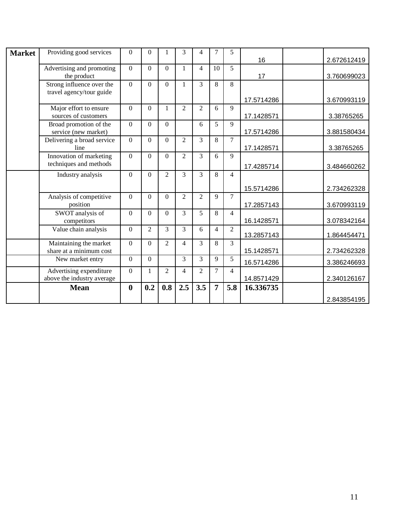| <b>Market</b> | Providing good services                               | $\boldsymbol{0}$ | $\theta$       |                | 3              | 4              | 7              | 5              |            |             |
|---------------|-------------------------------------------------------|------------------|----------------|----------------|----------------|----------------|----------------|----------------|------------|-------------|
|               |                                                       |                  |                |                |                |                |                |                | 16         | 2.672612419 |
|               | Advertising and promoting<br>the product              | $\mathbf{0}$     | $\Omega$       | $\Omega$       | 1              | $\overline{4}$ | 10             | 5              | 17         | 3.760699023 |
|               | Strong influence over the<br>travel agency/tour guide | $\Omega$         | $\Omega$       | $\Omega$       | $\mathbf{1}$   | $\overline{3}$ | 8              | 8              |            |             |
|               |                                                       |                  |                |                |                |                |                |                | 17.5714286 | 3.670993119 |
|               | Major effort to ensure<br>sources of customers        | $\overline{0}$   | $\Omega$       | 1              | $\overline{2}$ | $\overline{2}$ | 6              | 9              | 17.1428571 | 3.38765265  |
|               | Broad promotion of the<br>service (new market)        | $\Omega$         | $\Omega$       | $\Omega$       |                | 6              | 5              | 9              | 17.5714286 | 3.881580434 |
|               | Delivering a broad service<br>line                    | $\Omega$         | $\Omega$       | $\Omega$       | $\overline{2}$ | 3              | 8              | $\overline{7}$ | 17.1428571 | 3.38765265  |
|               | Innovation of marketing<br>techniques and methods     | $\Omega$         | $\Omega$       | $\Omega$       | $\overline{2}$ | 3              | 6              | 9              | 17.4285714 | 3.484660262 |
|               | Industry analysis                                     | $\overline{0}$   | $\Omega$       | $\overline{2}$ | $\overline{3}$ | $\overline{3}$ | 8              | $\overline{4}$ |            |             |
|               |                                                       |                  |                |                |                |                |                |                | 15.5714286 | 2.734262328 |
|               | Analysis of competitive<br>position                   | $\Omega$         | $\Omega$       | $\Omega$       | $\overline{2}$ | $\overline{2}$ | 9              | 7              | 17.2857143 | 3.670993119 |
|               | SWOT analysis of<br>competitors                       | $\overline{0}$   | $\Omega$       | $\Omega$       | $\overline{3}$ | 5              | 8              | $\overline{4}$ | 16.1428571 | 3.078342164 |
|               | Value chain analysis                                  | $\overline{0}$   | $\overline{2}$ | 3              | 3              | 6              | 4              | $\overline{2}$ | 13.2857143 | 1.864454471 |
|               | Maintaining the market<br>share at a minimum cost     | $\Omega$         | $\Omega$       | $\overline{2}$ | 4              | 3              | 8              | 3              | 15.1428571 | 2.734262328 |
|               | New market entry                                      | $\Omega$         | $\Omega$       |                | 3              | 3              | 9              | 5              | 16.5714286 | 3.386246693 |
|               | Advertising expenditure<br>above the industry average | $\boldsymbol{0}$ | 1              | $\overline{2}$ | 4              | $\overline{2}$ | 7              | 4              | 14.8571429 | 2.340126167 |
|               | <b>Mean</b>                                           | $\boldsymbol{0}$ | 0.2            | 0.8            | 2.5            | 3.5            | $\overline{7}$ | 5.8            | 16.336735  |             |
|               |                                                       |                  |                |                |                |                |                |                |            | 2.843854195 |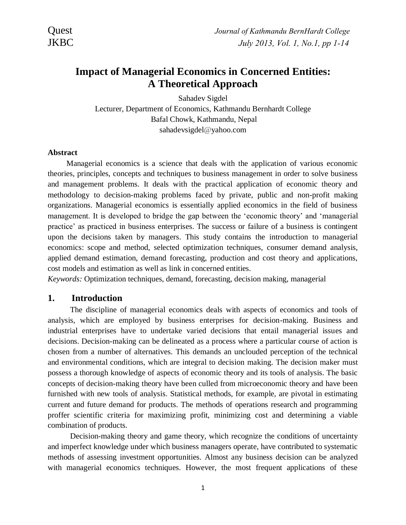# **Impact of Managerial Economics in Concerned Entities: A Theoretical Approach**

Sahadev Sigdel Lecturer, Department of Economics, Kathmandu Bernhardt College Bafal Chowk, Kathmandu, Nepal sahadevsigdel@yahoo.com

#### **Abstract**

Managerial economics is a science that deals with the application of various economic theories, principles, concepts and techniques to business management in order to solve business and management problems. It deals with the practical application of economic theory and methodology to decision-making problems faced by private, public and non-profit making organizations. Managerial economics is essentially applied economics in the field of business management. It is developed to bridge the gap between the 'economic theory' and 'managerial practice' as practiced in business enterprises. The success or failure of a business is contingent upon the decisions taken by managers. This study contains the introduction to managerial economics: scope and method, selected optimization techniques, consumer demand analysis, applied demand estimation, demand forecasting, production and cost theory and applications, cost models and estimation as well as link in concerned entities.

*Keywords:* Optimization techniques, demand, forecasting, decision making, managerial

### **1. Introduction**

The discipline of managerial economics deals with aspects of economics and tools of analysis, which are employed by business enterprises for decision-making. Business and industrial enterprises have to undertake varied decisions that entail managerial issues and decisions. Decision-making can be delineated as a process where a particular course of action is chosen from a number of alternatives. This demands an unclouded perception of the technical and environmental conditions, which are integral to decision making. The decision maker must possess a thorough knowledge of aspects of economic theory and its tools of analysis. The basic concepts of decision-making theory have been culled from microeconomic theory and have been furnished with new tools of analysis. Statistical methods, for example, are pivotal in estimating current and future demand for products. The methods of operations research and programming proffer scientific criteria for maximizing profit, minimizing cost and determining a viable combination of products.

Decision-making theory and game theory, which recognize the conditions of uncertainty and imperfect knowledge under which business managers operate, have contributed to systematic methods of assessing investment opportunities. Almost any business decision can be analyzed with managerial economics techniques. However, the most frequent applications of these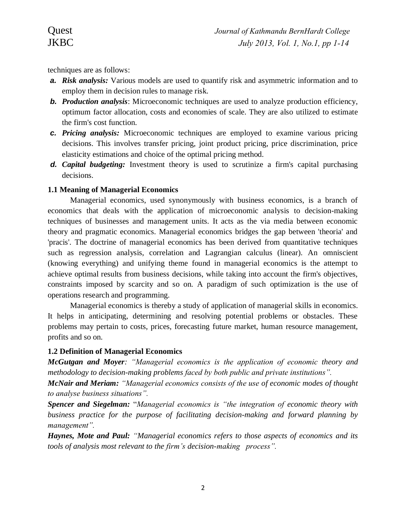techniques are as follows:

- *a. Risk analysis:* Various models are used to quantify risk and asymmetric information and to employ them in decision rules to manage risk.
- *b. Production analysis*: Microeconomic techniques are used to analyze production efficiency, optimum factor allocation, costs and economies of scale. They are also utilized to estimate the firm's cost function.
- *c. Pricing analysis:* Microeconomic techniques are employed to examine various pricing decisions. This involves transfer pricing, joint product pricing, price discrimination, price elasticity estimations and choice of the optimal pricing method.
- *d. Capital budgeting:* Investment theory is used to scrutinize a firm's capital purchasing decisions.

## **1.1 Meaning of Managerial Economics**

Managerial economics, used synonymously with business economics, is a branch of economics that deals with the application of microeconomic analysis to decision-making techniques of businesses and management units. It acts as the via media between economic theory and pragmatic economics. Managerial economics bridges the gap between 'theoria' and 'pracis'. The doctrine of managerial economics has been derived from quantitative techniques such as regression analysis, correlation and Lagrangian calculus (linear). An omniscient (knowing everything) and unifying theme found in managerial economics is the attempt to achieve optimal results from business decisions, while taking into account the firm's objectives, constraints imposed by scarcity and so on. A paradigm of such optimization is the use of operations research and programming.

Managerial economics is thereby a study of application of managerial skills in economics. It helps in anticipating, determining and resolving potential problems or obstacles. These problems may pertain to costs, prices, forecasting future market, human resource management, profits and so on.

### **1.2 Definition of Managerial Economics**

*McGutgan and Moyer: "Managerial economics is the application of economic theory and methodology to decision-making problems faced by both public and private institutions".*

*McNair and Meriam: "Managerial economics consists of the use of economic modes of thought to analyse business situations".*

*Spencer and Siegelman:* "*Managerial economics is "the integration of economic theory with business practice for the purpose of facilitating decision-making and forward planning by management".*

*Haynes, Mote and Paul: "Managerial economics refers to those aspects of economics and its tools of analysis most relevant to the firm's decision-making process".*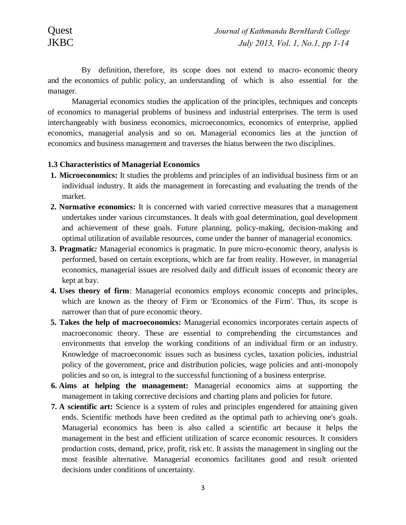By definition, therefore, its scope does not extend to macro- economic theory and the economics of public policy, an understanding of which is also essential for the manager.

Managerial economics studies the application of the principles, techniques and concepts of economics to managerial problems of business and industrial enterprises. The term is used interchangeably with business economics, microeconomics, economics of enterprise, applied economics, managerial analysis and so on. Managerial economics lies at the junction of economics and business management and traverses the hiatus between the two disciplines.

#### **1.3 Characteristics of Managerial Economics**

- **1. Microeconomics:** It studies the problems and principles of an individual business firm or an individual industry. It aids the management in forecasting and evaluating the trends of the market.
- **2. Normative economics:** It is concerned with varied corrective measures that a management undertakes under various circumstances. It deals with goal determination, goal development and achievement of these goals. Future planning, policy-making, decision-making and optimal utilization of available resources, come under the banner of managerial economics.
- **3. Pragmatic***:* Managerial economics is pragmatic. In pure micro-economic theory, analysis is performed, based on certain exceptions, which are far from reality. However, in managerial economics, managerial issues are resolved daily and difficult issues of economic theory are kept at bay.
- **4. Uses theory of firm**: Managerial economics employs economic concepts and principles, which are known as the theory of Firm or 'Economics of the Firm'. Thus, its scope is narrower than that of pure economic theory.
- **5. Takes the help of macroeconomics:** Managerial economics incorporates certain aspects of macroeconomic theory. These are essential to comprehending the circumstances and environments that envelop the working conditions of an individual firm or an industry. Knowledge of macroeconomic issues such as business cycles, taxation policies, industrial policy of the government, price and distribution policies, wage policies and anti-monopoly policies and so on, is integral to the successful functioning of a business enterprise.
- **6. Aims at helping the management:** Managerial economics aims at supporting the management in taking corrective decisions and charting plans and policies for future.
- **7. A scientific art:** Science is a system of rules and principles engendered for attaining given ends. Scientific methods have been credited as the optimal path to achieving one's goals. Managerial economics has been is also called a scientific art because it helps the management in the best and efficient utilization of scarce economic resources. It considers production costs, demand, price, profit, risk etc. It assists the management in singling out the most feasible alternative. Managerial economics facilitates good and result oriented decisions under conditions of uncertainty.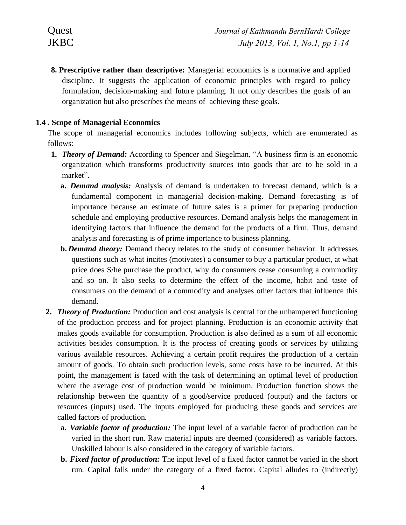**8. Prescriptive rather than descriptive:** Managerial economics is a normative and applied discipline. It suggests the application of economic principles with regard to policy formulation, decision-making and future planning. It not only describes the goals of an organization but also prescribes the means of achieving these goals.

# **1.4** *.* **Scope of Managerial Economics**

The scope of managerial economics includes following subjects, which are enumerated as follows:

- **1.** *Theory of Demand:* According to Spencer and Siegelman, "A business firm is an economic organization which transforms productivity sources into goods that are to be sold in a market".
	- **a.** *Demand analysis:* Analysis of demand is undertaken to forecast demand, which is a fundamental component in managerial decision-making. Demand forecasting is of importance because an estimate of future sales is a primer for preparing production schedule and employing productive resources. Demand analysis helps the management in identifying factors that influence the demand for the products of a firm. Thus, demand analysis and forecasting is of prime importance to business planning.
	- **b.** *Demand theory:* Demand theory relates to the study of consumer behavior. It addresses questions such as what incites (motivates) a consumer to buy a particular product, at what price does S/he purchase the product, why do consumers cease consuming a commodity and so on. It also seeks to determine the effect of the income, habit and taste of consumers on the demand of a commodity and analyses other factors that influence this demand.
- **2.** *Theory of Production:* Production and cost analysis is central for the unhampered functioning of the production process and for project planning. Production is an economic activity that makes goods available for consumption. Production is also defined as a sum of all economic activities besides consumption. It is the process of creating goods or services by utilizing various available resources. Achieving a certain profit requires the production of a certain amount of goods. To obtain such production levels, some costs have to be incurred. At this point, the management is faced with the task of determining an optimal level of production where the average cost of production would be minimum. Production function shows the relationship between the quantity of a good/service produced (output) and the factors or resources (inputs) used. The inputs employed for producing these goods and services are called factors of production.
	- **a.** *Variable factor of production:* The input level of a variable factor of production can be varied in the short run. Raw material inputs are deemed (considered) as variable factors. Unskilled labour is also considered in the category of variable factors.
	- **b.** *Fixed factor of production:* The input level of a fixed factor cannot be varied in the short run. Capital falls under the category of a fixed factor. Capital alludes to (indirectly)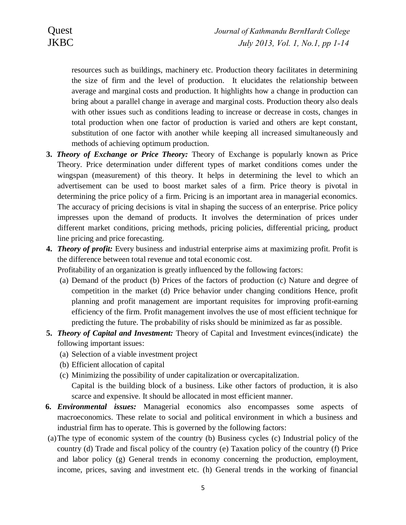resources such as buildings, machinery etc. Production theory facilitates in determining the size of firm and the level of production. It elucidates the relationship between average and marginal costs and production. It highlights how a change in production can bring about a parallel change in average and marginal costs. Production theory also deals with other issues such as conditions leading to increase or decrease in costs, changes in total production when one factor of production is varied and others are kept constant, substitution of one factor with another while keeping all increased simultaneously and methods of achieving optimum production.

- **3.** *Theory of Exchange or Price Theory:* Theory of Exchange is popularly known as Price Theory. Price determination under different types of market conditions comes under the wingspan (measurement) of this theory. It helps in determining the level to which an advertisement can be used to boost market sales of a firm. Price theory is pivotal in determining the price policy of a firm. Pricing is an important area in managerial economics. The accuracy of pricing decisions is vital in shaping the success of an enterprise. Price policy impresses upon the demand of products. It involves the determination of prices under different market conditions, pricing methods, pricing policies, differential pricing, product line pricing and price forecasting.
- **4.** *Theory of profit:* Every business and industrial enterprise aims at maximizing profit. Profit is the difference between total revenue and total economic cost.

Profitability of an organization is greatly influenced by the following factors:

- (a) Demand of the product (b) Prices of the factors of production (c) Nature and degree of competition in the market (d) Price behavior under changing conditions Hence, profit planning and profit management are important requisites for improving profit-earning efficiency of the firm. Profit management involves the use of most efficient technique for predicting the future. The probability of risks should be minimized as far as possible.
- **5.** *Theory of Capital and Investment:* Theory of Capital and Investment evinces(indicate) the following important issues:
	- (a) Selection of a viable investment project
	- (b) Efficient allocation of capital
	- (c) Minimizing the possibility of under capitalization or overcapitalization. Capital is the building block of a business. Like other factors of production, it is also
		- scarce and expensive. It should be allocated in most efficient manner.
- **6.** *Environmental issues:* Managerial economics also encompasses some aspects of macroeconomics. These relate to social and political environment in which a business and industrial firm has to operate. This is governed by the following factors:
- (a)The type of economic system of the country (b) Business cycles (c) Industrial policy of the country (d) Trade and fiscal policy of the country (e) Taxation policy of the country (f) Price and labor policy (g) General trends in economy concerning the production, employment, income, prices, saving and investment etc. (h) General trends in the working of financial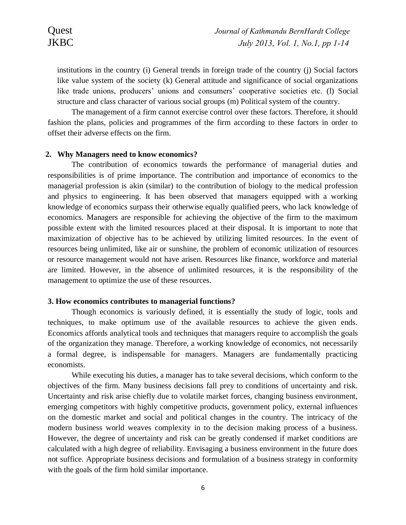institutions in the country (i) General trends in foreign trade of the country (j) Social factors like value system of the society (k) General attitude and significance of social organizations like trade unions, producers' unions and consumers' cooperative societies etc. (l) Social structure and class character of various social groups (m) Political system of the country.

The management of a firm cannot exercise control over these factors. Therefore, it should fashion the plans, policies and programmes of the firm according to these factors in order to offset their adverse effects on the firm.

#### **2. Why Managers need to know economics?**

The contribution of economics towards the performance of managerial duties and responsibilities is of prime importance. The contribution and importance of economics to the managerial profession is akin (similar) to the contribution of biology to the medical profession and physics to engineering. It has been observed that managers equipped with a working knowledge of economics surpass their otherwise equally qualified peers, who lack knowledge of economics. Managers are responsible for achieving the objective of the firm to the maximum possible extent with the limited resources placed at their disposal. It is important to note that maximization of objective has to be achieved by utilizing limited resources. In the event of resources being unlimited, like air or sunshine, the problem of economic utilization of resources or resource management would not have arisen. Resources like finance, workforce and material are limited. However, in the absence of unlimited resources, it is the responsibility of the management to optimize the use of these resources.

#### **3. How economics contributes to managerial functions?**

Though economics is variously defined, it is essentially the study of logic, tools and techniques, to make optimum use of the available resources to achieve the given ends. Economics affords analytical tools and techniques that managers require to accomplish the goals of the organization they manage. Therefore, a working knowledge of economics, not necessarily a formal degree, is indispensable for managers. Managers are fundamentally practicing economists.

While executing his duties, a manager has to take several decisions, which conform to the objectives of the firm. Many business decisions fall prey to conditions of uncertainty and risk. Uncertainty and risk arise chiefly due to volatile market forces, changing business environment, emerging competitors with highly competitive products, government policy, external influences on the domestic market and social and political changes in the country. The intricacy of the modern business world weaves complexity in to the decision making process of a business. However, the degree of uncertainty and risk can be greatly condensed if market conditions are calculated with a high degree of reliability. Envisaging a business environment in the future does not suffice. Appropriate business decisions and formulation of a business strategy in conformity with the goals of the firm hold similar importance.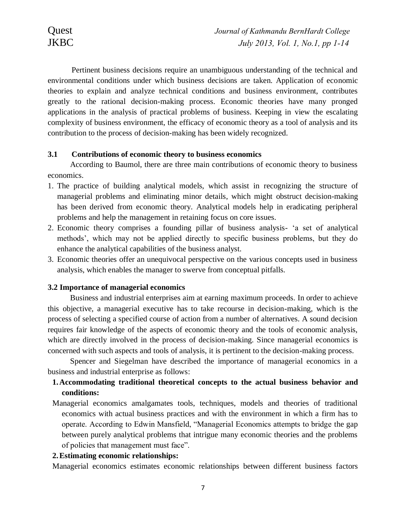Pertinent business decisions require an unambiguous understanding of the technical and environmental conditions under which business decisions are taken. Application of economic theories to explain and analyze technical conditions and business environment, contributes greatly to the rational decision-making process. Economic theories have many pronged applications in the analysis of practical problems of business. Keeping in view the escalating complexity of business environment, the efficacy of economic theory as a tool of analysis and its contribution to the process of decision-making has been widely recognized.

#### **3.1 Contributions of economic theory to business economics**

According to Baumol, there are three main contributions of economic theory to business economics.

- 1. The practice of building analytical models, which assist in recognizing the structure of managerial problems and eliminating minor details, which might obstruct decision-making has been derived from economic theory. Analytical models help in eradicating peripheral problems and help the management in retaining focus on core issues.
- 2. Economic theory comprises a founding pillar of business analysis- 'a set of analytical methods', which may not be applied directly to specific business problems, but they do enhance the analytical capabilities of the business analyst.
- 3. Economic theories offer an unequivocal perspective on the various concepts used in business analysis, which enables the manager to swerve from conceptual pitfalls.

#### **3.2 Importance of managerial economics**

Business and industrial enterprises aim at earning maximum proceeds. In order to achieve this objective, a managerial executive has to take recourse in decision-making, which is the process of selecting a specified course of action from a number of alternatives. A sound decision requires fair knowledge of the aspects of economic theory and the tools of economic analysis, which are directly involved in the process of decision-making. Since managerial economics is concerned with such aspects and tools of analysis, it is pertinent to the decision-making process.

Spencer and Siegelman have described the importance of managerial economics in a business and industrial enterprise as follows:

# **1.Accommodating traditional theoretical concepts to the actual business behavior and conditions:**

Managerial economics amalgamates tools, techniques, models and theories of traditional economics with actual business practices and with the environment in which a firm has to operate. According to Edwin Mansfield, "Managerial Economics attempts to bridge the gap between purely analytical problems that intrigue many economic theories and the problems of policies that management must face".

#### **2.Estimating economic relationships:**

Managerial economics estimates economic relationships between different business factors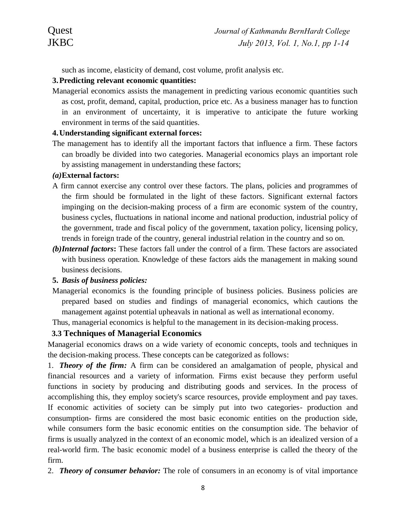such as income, elasticity of demand, cost volume, profit analysis etc.

## **3.Predicting relevant economic quantities:**

Managerial economics assists the management in predicting various economic quantities such as cost, profit, demand, capital, production, price etc. As a business manager has to function in an environment of uncertainty, it is imperative to anticipate the future working environment in terms of the said quantities.

### **4.Understanding significant external forces:**

The management has to identify all the important factors that influence a firm. These factors can broadly be divided into two categories. Managerial economics plays an important role by assisting management in understanding these factors;

### *(a)***External factors:**

- A firm cannot exercise any control over these factors. The plans, policies and programmes of the firm should be formulated in the light of these factors. Significant external factors impinging on the decision-making process of a firm are economic system of the country, business cycles, fluctuations in national income and national production, industrial policy of the government, trade and fiscal policy of the government, taxation policy, licensing policy, trends in foreign trade of the country, general industrial relation in the country and so on.
- *(b)Internal factors***:** These factors fall under the control of a firm. These factors are associated with business operation. Knowledge of these factors aids the management in making sound business decisions.

### **5.** *Basis of business policies:*

Managerial economics is the founding principle of business policies. Business policies are prepared based on studies and findings of managerial economics, which cautions the management against potential upheavals in national as well as international economy.

Thus, managerial economics is helpful to the management in its decision-making process.

# **3.3 Techniques of Managerial Economics**

Managerial economics draws on a wide variety of economic concepts, tools and techniques in the decision-making process. These concepts can be categorized as follows:

1. *Theory of the firm:* A firm can be considered an amalgamation of people, physical and financial resources and a variety of information. Firms exist because they perform useful functions in society by producing and distributing goods and services. In the process of accomplishing this, they employ society's scarce resources, provide employment and pay taxes. If economic activities of society can be simply put into two categories- production and consumption- firms are considered the most basic economic entities on the production side, while consumers form the basic economic entities on the consumption side. The behavior of firms is usually analyzed in the context of an economic model, which is an idealized version of a real-world firm. The basic economic model of a business enterprise is called the theory of the firm.

2. *Theory of consumer behavior:* The role of consumers in an economy is of vital importance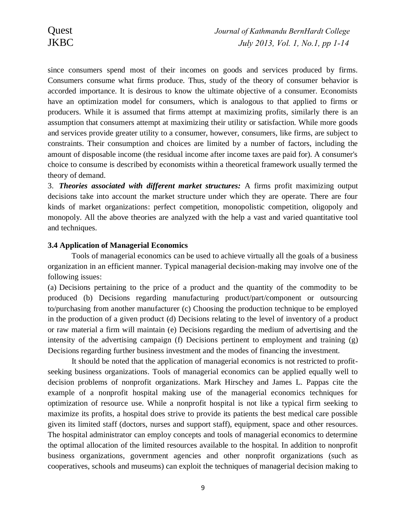since consumers spend most of their incomes on goods and services produced by firms. Consumers consume what firms produce. Thus, study of the theory of consumer behavior is accorded importance. It is desirous to know the ultimate objective of a consumer. Economists have an optimization model for consumers, which is analogous to that applied to firms or producers. While it is assumed that firms attempt at maximizing profits, similarly there is an assumption that consumers attempt at maximizing their utility or satisfaction. While more goods and services provide greater utility to a consumer, however, consumers, like firms, are subject to constraints. Their consumption and choices are limited by a number of factors, including the amount of disposable income (the residual income after income taxes are paid for). A consumer's choice to consume is described by economists within a theoretical framework usually termed the theory of demand.

3. *Theories associated with different market structures:* A firms profit maximizing output decisions take into account the market structure under which they are operate. There are four kinds of market organizations: perfect competition, monopolistic competition, oligopoly and monopoly. All the above theories are analyzed with the help a vast and varied quantitative tool and techniques.

#### **3.4 Application of Managerial Economics**

Tools of managerial economics can be used to achieve virtually all the goals of a business organization in an efficient manner. Typical managerial decision-making may involve one of the following issues:

(a) Decisions pertaining to the price of a product and the quantity of the commodity to be produced (b) Decisions regarding manufacturing product/part/component or outsourcing to/purchasing from another manufacturer (c) Choosing the production technique to be employed in the production of a given product (d) Decisions relating to the level of inventory of a product or raw material a firm will maintain (e) Decisions regarding the medium of advertising and the intensity of the advertising campaign (f) Decisions pertinent to employment and training (g) Decisions regarding further business investment and the modes of financing the investment.

It should be noted that the application of managerial economics is not restricted to profitseeking business organizations. Tools of managerial economics can be applied equally well to decision problems of nonprofit organizations. Mark Hirschey and James L. Pappas cite the example of a nonprofit hospital making use of the managerial economics techniques for optimization of resource use. While a nonprofit hospital is not like a typical firm seeking to maximize its profits, a hospital does strive to provide its patients the best medical care possible given its limited staff (doctors, nurses and support staff), equipment, space and other resources. The hospital administrator can employ concepts and tools of managerial economics to determine the optimal allocation of the limited resources available to the hospital. In addition to nonprofit business organizations, government agencies and other nonprofit organizations (such as cooperatives, schools and museums) can exploit the techniques of managerial decision making to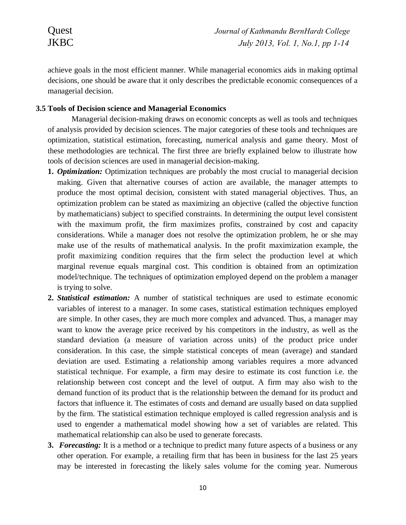achieve goals in the most efficient manner. While managerial economics aids in making optimal decisions, one should be aware that it only describes the predictable economic consequences of a managerial decision.

### **3.5 Tools of Decision science and Managerial Economics**

Managerial decision-making draws on economic concepts as well as tools and techniques of analysis provided by decision sciences. The major categories of these tools and techniques are optimization, statistical estimation, forecasting, numerical analysis and game theory. Most of these methodologies are technical. The first three are briefly explained below to illustrate how tools of decision sciences are used in managerial decision-making.

- **1.** *Optimization:* Optimization techniques are probably the most crucial to managerial decision making. Given that alternative courses of action are available, the manager attempts to produce the most optimal decision, consistent with stated managerial objectives. Thus, an optimization problem can be stated as maximizing an objective (called the objective function by mathematicians) subject to specified constraints. In determining the output level consistent with the maximum profit, the firm maximizes profits, constrained by cost and capacity considerations. While a manager does not resolve the optimization problem, he or she may make use of the results of mathematical analysis. In the profit maximization example, the profit maximizing condition requires that the firm select the production level at which marginal revenue equals marginal cost. This condition is obtained from an optimization model/technique. The techniques of optimization employed depend on the problem a manager is trying to solve.
- **2.** *Statistical estimation:* A number of statistical techniques are used to estimate economic variables of interest to a manager. In some cases, statistical estimation techniques employed are simple. In other cases, they are much more complex and advanced. Thus, a manager may want to know the average price received by his competitors in the industry, as well as the standard deviation (a measure of variation across units) of the product price under consideration. In this case, the simple statistical concepts of mean (average) and standard deviation are used. Estimating a relationship among variables requires a more advanced statistical technique. For example, a firm may desire to estimate its cost function i.e. the relationship between cost concept and the level of output. A firm may also wish to the demand function of its product that is the relationship between the demand for its product and factors that influence it. The estimates of costs and demand are usually based on data supplied by the firm. The statistical estimation technique employed is called regression analysis and is used to engender a mathematical model showing how a set of variables are related. This mathematical relationship can also be used to generate forecasts.
- **3.** *Forecasting:* It is a method or a technique to predict many future aspects of a business or any other operation. For example, a retailing firm that has been in business for the last 25 years may be interested in forecasting the likely sales volume for the coming year. Numerous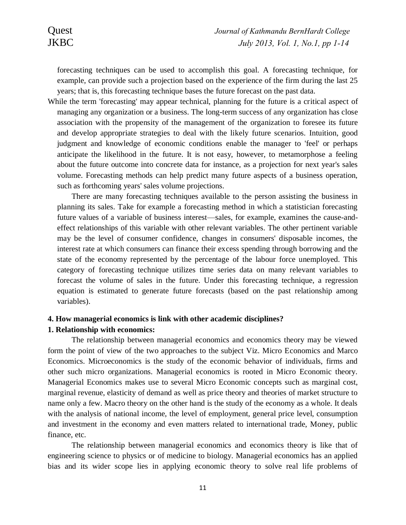forecasting techniques can be used to accomplish this goal. A forecasting technique, for example, can provide such a projection based on the experience of the firm during the last 25 years; that is, this forecasting technique bases the future forecast on the past data.

While the term 'forecasting' may appear technical, planning for the future is a critical aspect of managing any organization or a business. The long-term success of any organization has close association with the propensity of the management of the organization to foresee its future and develop appropriate strategies to deal with the likely future scenarios. Intuition, good judgment and knowledge of economic conditions enable the manager to 'feel' or perhaps anticipate the likelihood in the future. It is not easy, however, to metamorphose a feeling about the future outcome into concrete data for instance, as a projection for next year's sales volume. Forecasting methods can help predict many future aspects of a business operation, such as forthcoming years' sales volume projections.

There are many forecasting techniques available to the person assisting the business in planning its sales. Take for example a forecasting method in which a statistician forecasting future values of a variable of business interest—sales, for example, examines the cause-andeffect relationships of this variable with other relevant variables. The other pertinent variable may be the level of consumer confidence, changes in consumers' disposable incomes, the interest rate at which consumers can finance their excess spending through borrowing and the state of the economy represented by the percentage of the labour force unemployed. This category of forecasting technique utilizes time series data on many relevant variables to forecast the volume of sales in the future. Under this forecasting technique, a regression equation is estimated to generate future forecasts (based on the past relationship among variables).

#### **4. How managerial economics is link with other academic disciplines?**

#### **1. Relationship with economics:**

The relationship between managerial economics and economics theory may be viewed form the point of view of the two approaches to the subject Viz. Micro Economics and Marco Economics. Microeconomics is the study of the economic behavior of individuals, firms and other such micro organizations. Managerial economics is rooted in Micro Economic theory. Managerial Economics makes use to several Micro Economic concepts such as marginal cost, marginal revenue, elasticity of demand as well as price theory and theories of market structure to name only a few. Macro theory on the other hand is the study of the economy as a whole. It deals with the analysis of national income, the level of employment, general price level, consumption and investment in the economy and even matters related to international trade, Money, public finance, etc.

The relationship between managerial economics and economics theory is like that of engineering science to physics or of medicine to biology. Managerial economics has an applied bias and its wider scope lies in applying economic theory to solve real life problems of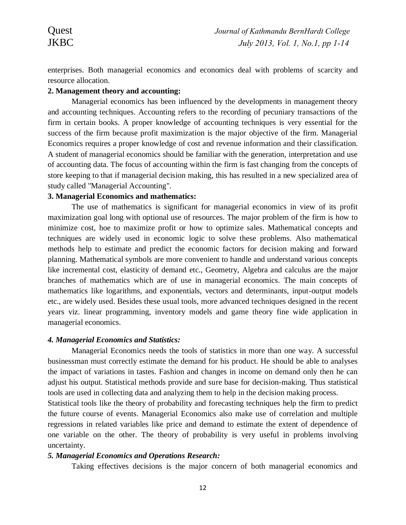enterprises. Both managerial economics and economics deal with problems of scarcity and resource allocation.

### **2. Management theory and accounting:**

Managerial economics has been influenced by the developments in management theory and accounting techniques. Accounting refers to the recording of pecuniary transactions of the firm in certain books. A proper knowledge of accounting techniques is very essential for the success of the firm because profit maximization is the major objective of the firm. Managerial Economics requires a proper knowledge of cost and revenue information and their classification. A student of managerial economics should be familiar with the generation, interpretation and use of accounting data. The focus of accounting within the firm is fast changing from the concepts of store keeping to that if managerial decision making, this has resulted in a new specialized area of study called "Managerial Accounting".

### **3. Managerial Economics and mathematics:**

The use of mathematics is significant for managerial economics in view of its profit maximization goal long with optional use of resources. The major problem of the firm is how to minimize cost, hoe to maximize profit or how to optimize sales. Mathematical concepts and techniques are widely used in economic logic to solve these problems. Also mathematical methods help to estimate and predict the economic factors for decision making and forward planning. Mathematical symbols are more convenient to handle and understand various concepts like incremental cost, elasticity of demand etc., Geometry, Algebra and calculus are the major branches of mathematics which are of use in managerial economics. The main concepts of mathematics like logarithms, and exponentials, vectors and determinants, input-output models etc., are widely used. Besides these usual tools, more advanced techniques designed in the recent years viz. linear programming, inventory models and game theory fine wide application in managerial economics.

### *4. Managerial Economics and Statistics:*

Managerial Economics needs the tools of statistics in more than one way. A successful businessman must correctly estimate the demand for his product. He should be able to analyses the impact of variations in tastes. Fashion and changes in income on demand only then he can adjust his output. Statistical methods provide and sure base for decision-making. Thus statistical tools are used in collecting data and analyzing them to help in the decision making process.

Statistical tools like the theory of probability and forecasting techniques help the firm to predict the future course of events. Managerial Economics also make use of correlation and multiple regressions in related variables like price and demand to estimate the extent of dependence of one variable on the other. The theory of probability is very useful in problems involving uncertainty.

# *5. Managerial Economics and Operations Research:*

Taking effectives decisions is the major concern of both managerial economics and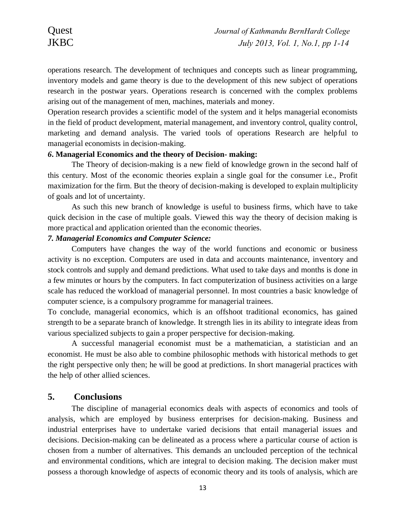operations research. The development of techniques and concepts such as linear programming, inventory models and game theory is due to the development of this new subject of operations research in the postwar years. Operations research is concerned with the complex problems arising out of the management of men, machines, materials and money.

Operation research provides a scientific model of the system and it helps managerial economists in the field of product development, material management, and inventory control, quality control, marketing and demand analysis. The varied tools of operations Research are helpful to managerial economists in decision-making.

#### *6***. Managerial Economics and the theory of Decision- making:**

The Theory of decision-making is a new field of knowledge grown in the second half of this century. Most of the economic theories explain a single goal for the consumer i.e., Profit maximization for the firm. But the theory of decision-making is developed to explain multiplicity of goals and lot of uncertainty.

As such this new branch of knowledge is useful to business firms, which have to take quick decision in the case of multiple goals. Viewed this way the theory of decision making is more practical and application oriented than the economic theories.

## *7. Managerial Economics and Computer Science:*

Computers have changes the way of the world functions and economic or business activity is no exception. Computers are used in data and accounts maintenance, inventory and stock controls and supply and demand predictions. What used to take days and months is done in a few minutes or hours by the computers. In fact computerization of business activities on a large scale has reduced the workload of managerial personnel. In most countries a basic knowledge of computer science, is a compulsory programme for managerial trainees.

To conclude, managerial economics, which is an offshoot traditional economics, has gained strength to be a separate branch of knowledge. It strength lies in its ability to integrate ideas from various specialized subjects to gain a proper perspective for decision-making.

A successful managerial economist must be a mathematician, a statistician and an economist. He must be also able to combine philosophic methods with historical methods to get the right perspective only then; he will be good at predictions. In short managerial practices with the help of other allied sciences.

### **5. Conclusions**

The discipline of managerial economics deals with aspects of economics and tools of analysis, which are employed by business enterprises for decision-making. Business and industrial enterprises have to undertake varied decisions that entail managerial issues and decisions. Decision-making can be delineated as a process where a particular course of action is chosen from a number of alternatives. This demands an unclouded perception of the technical and environmental conditions, which are integral to decision making. The decision maker must possess a thorough knowledge of aspects of economic theory and its tools of analysis, which are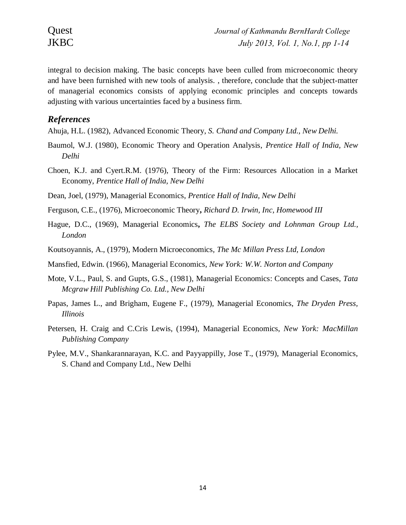integral to decision making. The basic concepts have been culled from microeconomic theory and have been furnished with new tools of analysis. , therefore, conclude that the subject-matter of managerial economics consists of applying economic principles and concepts towards adjusting with various uncertainties faced by a business firm.

## *References*

Ahuja, H.L. (1982), Advanced Economic Theory, *S. Chand and Company Ltd., New Delhi.*

- Baumol, W.J. (1980), Economic Theory and Operation Analysis, *Prentice Hall of India, New Delhi*
- Choen, K.J. and Cyert.R.M. (1976), Theory of the Firm: Resources Allocation in a Market Economy, *Prentice Hall of India, New Delhi*
- Dean, Joel, (1979), Managerial Economics, *Prentice Hall of India, New Delhi*
- Ferguson, C.E., (1976), Microeconomic Theory**,** *Richard D. Irwin, Inc, Homewood III*
- Hague, D.C., (1969), Managerial Economics**,** *The ELBS Society and Lohnman Group Ltd., London*
- Koutsoyannis, A., (1979), Modern Microeconomics*, The Mc Millan Press Ltd, London*
- Mansfied, Edwin. (1966), Managerial Economics, *New York: W.W. Norton and Company*
- Mote, V.L., Paul, S. and Gupts, G.S., (1981), Managerial Economics: Concepts and Cases, *Tata Mcgraw Hill Publishing Co. Ltd., New Delhi*
- Papas, James L., and Brigham, Eugene F., (1979), Managerial Economics, *The Dryden Press, Illinois*
- Petersen, H. Craig and C.Cris Lewis, (1994), Managerial Economics, *New York: MacMillan Publishing Company*
- Pylee, M.V., Shankarannarayan, K.C. and Payyappilly, Jose T., (1979), Managerial Economics, S. Chand and Company Ltd., New Delhi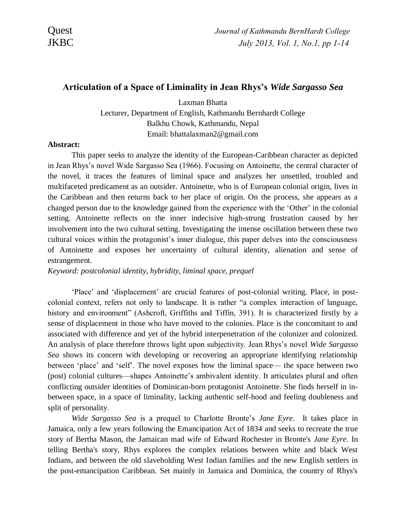### **Articulation of a Space of Liminality in Jean Rhys's** *Wide Sargasso Sea*

Laxman Bhatta Lecturer, Department of English, Kathmandu Bernhardt College Balkhu Chowk, Kathmandu, Nepal Email: bhattalaxman2@gmail.com

#### **Abstract:**

This paper seeks to analyze the identity of the European-Caribbean character as depicted in Jean Rhys's novel Wide Sargasso Sea (1966). Focusing on Antoinette, the central character of the novel, it traces the features of liminal space and analyzes her unsettled, troubled and multifaceted predicament as an outsider. Antoinette, who is of European colonial origin, lives in the Caribbean and then returns back to her place of origin. On the process, she appears as a changed person due to the knowledge gained from the experience with the 'Other' in the colonial setting. Antoinette reflects on the inner indecisive high-strung frustration caused by her involvement into the two cultural setting. Investigating the intense oscillation between these two cultural voices within the protagonist's inner dialogue, this paper delves into the consciousness of Antoinette and exposes her uncertainty of cultural identity, alienation and sense of estrangement.

*Keyword: postcolonial identity, hybridity, liminal space, prequel* 

'Place' and 'displacement' are crucial features of post-colonial writing. Place, in postcolonial context, refers not only to landscape. It is rather "a complex interaction of language, history and environment" (Ashcroft, Griffiths and Tiffin, 391). It is characterized firstly by a sense of displacement in those who have moved to the colonies. Place is the concomitant to and associated with difference and yet of the hybrid interpenetration of the colonizer and colonized. An analysis of place therefore throws light upon subjectivity. Jean Rhys's novel *Wide Sargasso Sea* shows its concern with developing or recovering an appropriate identifying relationship between 'place' and 'self'. The novel exposes how the liminal space— the space between two (post) colonial cultures—shapes Antoinette's ambivalent identity. It articulates plural and often conflicting outsider identities of Dominican-born protagonist Antoinette. She finds herself in inbetween space, in a space of liminality, lacking authentic self-hood and feeling doubleness and split of personality.

*Wide Sargasso Sea* is a prequel to Charlotte Bronte's *Jane Eyre*. It takes place in Jamaica, only a few years following the Emancipation Act of 1834 and seeks to recreate the true story of Bertha Mason, the Jamaican mad wife of Edward Rochester in Bronte's *Jane Eyre*. In telling Bertha's story, Rhys explores the complex relations between white and black West Indians, and between the old slaveholding West Indian families and the new English settlers in the post-emancipation Caribbean. Set mainly in Jamaica and Dominica, the country of Rhys's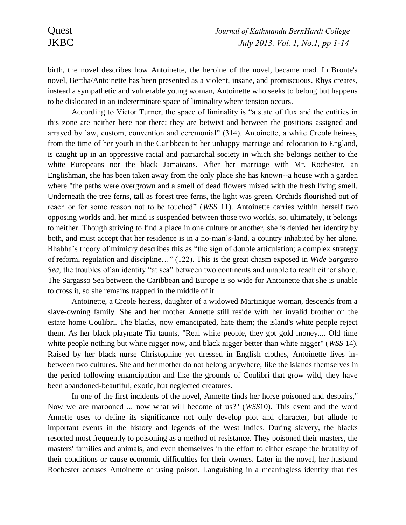birth, the novel describes how Antoinette, the heroine of the novel, became mad. In Bronte's novel, Bertha/Antoinette has been presented as a violent, insane, and promiscuous. Rhys creates, instead a sympathetic and vulnerable young woman, Antoinette who seeks to belong but happens to be dislocated in an indeterminate space of liminality where tension occurs.

According to Victor Turner, the space of liminality is "a state of flux and the entities in this zone are neither here nor there; they are betwixt and between the positions assigned and arrayed by law, custom, convention and ceremonial" (314). Antoinette, a white Creole heiress, from the time of her youth in the Caribbean to her unhappy marriage and relocation to England, is caught up in an oppressive racial and patriarchal society in which she belongs neither to the white Europeans nor the black Jamaicans. After her marriage with Mr. Rochester, an Englishman, she has been taken away from the only place she has known--a house with a garden where "the paths were overgrown and a smell of dead flowers mixed with the fresh living smell. Underneath the tree ferns, tall as forest tree ferns, the light was green. Orchids flourished out of reach or for some reason not to be touched" (*WSS* 11). Antoinette carries within herself two opposing worlds and, her mind is suspended between those two worlds, so, ultimately, it belongs to neither. Though striving to find a place in one culture or another, she is denied her identity by both, and must accept that her residence is in a no-man's-land, a country inhabited by her alone. Bhabha's theory of mimicry describes this as "the sign of double articulation; a complex strategy of reform, regulation and discipline…" (122). This is the great chasm exposed in *Wide Sargasso Sea*, the troubles of an identity "at sea" between two continents and unable to reach either shore. The Sargasso Sea between the Caribbean and Europe is so wide for Antoinette that she is unable to cross it, so she remains trapped in the middle of it.

Antoinette, a Creole heiress, daughter of a widowed Martinique woman, descends from a slave-owning family. She and her mother Annette still reside with her invalid brother on the estate home Coulibri. The blacks, now emancipated, hate them; the island's white people reject them. As her black playmate Tia taunts, "Real white people, they got gold money.... Old time white people nothing but white nigger now, and black nigger better than white nigger" (*WSS* 14). Raised by her black nurse Christophine yet dressed in English clothes, Antoinette lives inbetween two cultures. She and her mother do not belong anywhere; like the islands themselves in the period following emancipation and like the grounds of Coulibri that grow wild, they have been abandoned-beautiful, exotic, but neglected creatures.

In one of the first incidents of the novel, Annette finds her horse poisoned and despairs," Now we are marooned ... now what will become of us?" (*WSS*10). This event and the word Annette uses to define its significance not only develop plot and character, but allude to important events in the history and legends of the West Indies. During slavery, the blacks resorted most frequently to poisoning as a method of resistance. They poisoned their masters, the masters' families and animals, and even themselves in the effort to either escape the brutality of their conditions or cause economic difficulties for their owners. Later in the novel, her husband Rochester accuses Antoinette of using poison. Languishing in a meaningless identity that ties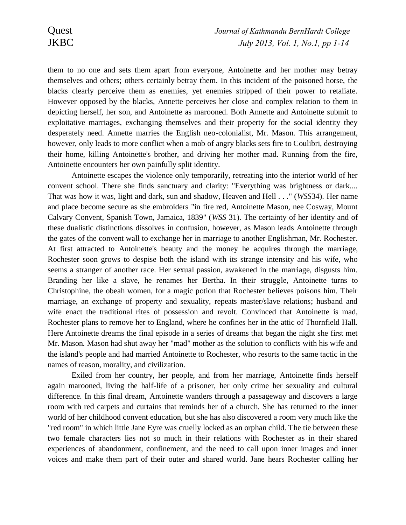them to no one and sets them apart from everyone, Antoinette and her mother may betray themselves and others; others certainly betray them. In this incident of the poisoned horse, the blacks clearly perceive them as enemies, yet enemies stripped of their power to retaliate. However opposed by the blacks, Annette perceives her close and complex relation to them in depicting herself, her son, and Antoinette as marooned. Both Annette and Antoinette submit to exploitative marriages, exchanging themselves and their property for the social identity they desperately need. Annette marries the English neo-colonialist, Mr. Mason. This arrangement, however, only leads to more conflict when a mob of angry blacks sets fire to Coulibri, destroying their home, killing Antoinette's brother, and driving her mother mad. Running from the fire, Antoinette encounters her own painfully split identity.

Antoinette escapes the violence only temporarily, retreating into the interior world of her convent school. There she finds sanctuary and clarity: "Everything was brightness or dark.... That was how it was, light and dark, sun and shadow, Heaven and Hell . . ." (*WSS*34). Her name and place become secure as she embroiders "in fire red, Antoinette Mason, nee Cosway, Mount Calvary Convent, Spanish Town, Jamaica, 1839" (*WSS* 31). The certainty of her identity and of these dualistic distinctions dissolves in confusion, however, as Mason leads Antoinette through the gates of the convent wall to exchange her in marriage to another Englishman, Mr. Rochester. At first attracted to Antoinette's beauty and the money he acquires through the marriage, Rochester soon grows to despise both the island with its strange intensity and his wife, who seems a stranger of another race. Her sexual passion, awakened in the marriage, disgusts him. Branding her like a slave, he renames her Bertha. In their struggle, Antoinette turns to Christophine, the obeah women, for a magic potion that Rochester believes poisons him. Their marriage, an exchange of property and sexuality, repeats master/slave relations; husband and wife enact the traditional rites of possession and revolt. Convinced that Antoinette is mad, Rochester plans to remove her to England, where he confines her in the attic of Thornfield Hall. Here Antoinette dreams the final episode in a series of dreams that began the night she first met Mr. Mason. Mason had shut away her "mad" mother as the solution to conflicts with his wife and the island's people and had married Antoinette to Rochester, who resorts to the same tactic in the names of reason, morality, and civilization.

Exiled from her country, her people, and from her marriage, Antoinette finds herself again marooned, living the half-life of a prisoner, her only crime her sexuality and cultural difference. In this final dream, Antoinette wanders through a passageway and discovers a large room with red carpets and curtains that reminds her of a church. She has returned to the inner world of her childhood convent education, but she has also discovered a room very much like the "red room" in which little Jane Eyre was cruelly locked as an orphan child. The tie between these two female characters lies not so much in their relations with Rochester as in their shared experiences of abandonment, confinement, and the need to call upon inner images and inner voices and make them part of their outer and shared world. Jane hears Rochester calling her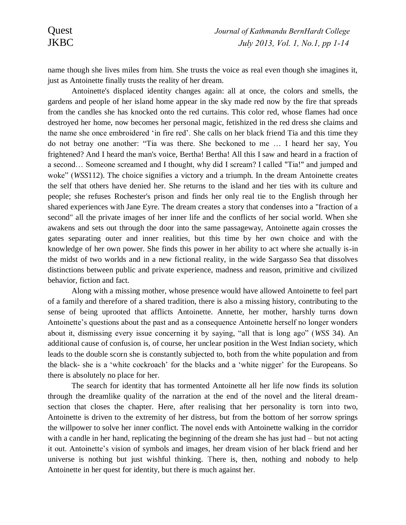name though she lives miles from him. She trusts the voice as real even though she imagines it, just as Antoinette finally trusts the reality of her dream.

Antoinette's displaced identity changes again: all at once, the colors and smells, the gardens and people of her island home appear in the sky made red now by the fire that spreads from the candles she has knocked onto the red curtains. This color red, whose flames had once destroyed her home, now becomes her personal magic, fetishized in the red dress she claims and the name she once embroidered 'in fire red'. She calls on her black friend Tia and this time they do not betray one another: "Tia was there. She beckoned to me … I heard her say, You frightened? And I heard the man's voice, Bertha! Bertha! All this I saw and heard in a fraction of a second… Someone screamed and I thought, why did I scream? I called "Tia!" and jumped and woke" (*WSS*112). The choice signifies a victory and a triumph. In the dream Antoinette creates the self that others have denied her. She returns to the island and her ties with its culture and people; she refuses Rochester's prison and finds her only real tie to the English through her shared experiences with Jane Eyre. The dream creates a story that condenses into a "fraction of a second" all the private images of her inner life and the conflicts of her social world. When she awakens and sets out through the door into the same passageway, Antoinette again crosses the gates separating outer and inner realities, but this time by her own choice and with the knowledge of her own power. She finds this power in her ability to act where she actually is-in the midst of two worlds and in a new fictional reality, in the wide Sargasso Sea that dissolves distinctions between public and private experience, madness and reason, primitive and civilized behavior, fiction and fact.

Along with a missing mother, whose presence would have allowed Antoinette to feel part of a family and therefore of a shared tradition, there is also a missing history, contributing to the sense of being uprooted that afflicts Antoinette. Annette, her mother, harshly turns down Antoinette's questions about the past and as a consequence Antoinette herself no longer wonders about it, dismissing every issue concerning it by saying, "all that is long ago" (*WSS* 34). An additional cause of confusion is, of course, her unclear position in the West Indian society, which leads to the double scorn she is constantly subjected to, both from the white population and from the black- she is a 'white cockroach' for the blacks and a 'white nigger' for the Europeans. So there is absolutely no place for her.

The search for identity that has tormented Antoinette all her life now finds its solution through the dreamlike quality of the narration at the end of the novel and the literal dreamsection that closes the chapter. Here, after realising that her personality is torn into two, Antoinette is driven to the extremity of her distress, but from the bottom of her sorrow springs the willpower to solve her inner conflict. The novel ends with Antoinette walking in the corridor with a candle in her hand, replicating the beginning of the dream she has just had – but not acting it out. Antoinette's vision of symbols and images, her dream vision of her black friend and her universe is nothing but just wishful thinking. There is, then, nothing and nobody to help Antoinette in her quest for identity, but there is much against her.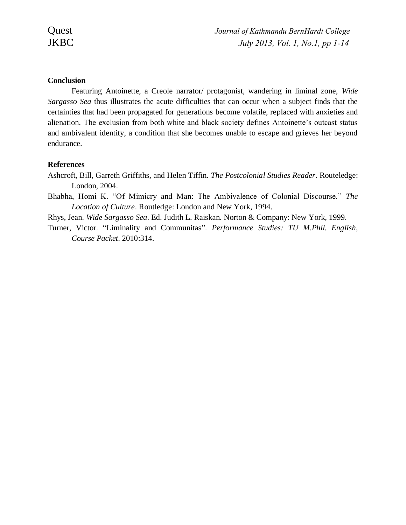# **Conclusion**

Featuring Antoinette, a Creole narrator/ protagonist, wandering in liminal zone, *Wide Sargasso Sea* thus illustrates the acute difficulties that can occur when a subject finds that the certainties that had been propagated for generations become volatile, replaced with anxieties and alienation. The exclusion from both white and black society defines Antoinette's outcast status and ambivalent identity, a condition that she becomes unable to escape and grieves her beyond endurance.

## **References**

Ashcroft, Bill, Garreth Griffiths, and Helen Tiffin. *The Postcolonial Studies Reader*. Routeledge: London, 2004.

Bhabha, Homi K. "Of Mimicry and Man: The Ambivalence of Colonial Discourse." *The Location of Culture*. Routledge: London and New York, 1994.

Rhys, Jean. *Wide Sargasso Sea*. Ed. Judith L. Raiskan. Norton & Company: New York, 1999.

Turner, Victor. "Liminality and Communitas". *Performance Studies: TU M.Phil. English, Course Packet*. 2010:314.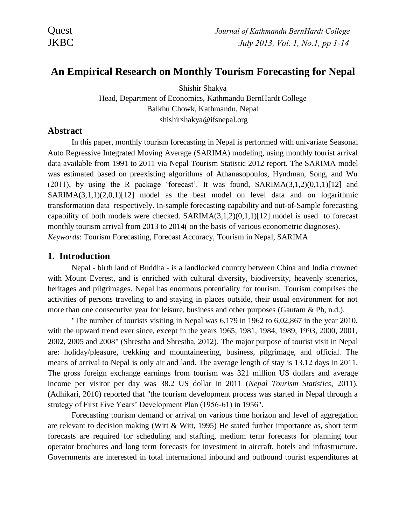# **An Empirical Research on Monthly Tourism Forecasting for Nepal**

Shishir Shakya Head, Department of Economics, Kathmandu BernHardt College Balkhu Chowk, Kathmandu, Nepal shishirshakya@ifsnepal.org

# **Abstract**

In this paper, monthly tourism forecasting in Nepal is performed with univariate Seasonal Auto Regressive Integrated Moving Average (SARIMA) modeling, using monthly tourist arrival data available from 1991 to 2011 via Nepal Tourism Statistic 2012 report. The SARIMA model was estimated based on preexisting algorithms of Athanasopoulos, Hyndman, Song, and Wu (2011), by using the R package 'forecast'. It was found,  $SARIMA(3,1,2)(0,1,1)[12]$  and SARIMA(3,1,1)(2,0,1)[12] model as the best model on level data and on logarithmic transformation data respectively. In-sample forecasting capability and out-of-Sample forecasting capability of both models were checked.  $SARIMA(3,1,2)(0,1,1)[12]$  model is used to forecast monthly tourism arrival from 2013 to 2014( on the basis of various econometric diagnoses). *Keywords*: Tourism Forecasting, Forecast Accuracy, Tourism in Nepal, SARIMA

# **1. Introduction**

Nepal - birth land of Buddha - is a landlocked country between China and India crowned with Mount Everest, and is enriched with cultural diversity, biodiversity, heavenly scenarios, heritages and pilgrimages. Nepal has enormous potentiality for tourism. Tourism comprises the activities of persons traveling to and staying in places outside, their usual environment for not more than one consecutive year for leisure, business and other purposes (Gautam & Ph, n.d.).

"The number of tourists visiting in Nepal was 6,179 in 1962 to 6,02,867 in the year 2010, with the upward trend ever since, except in the years 1965, 1981, 1984, 1989, 1993, 2000, 2001, 2002, 2005 and 2008" (Shrestha and Shrestha, 2012). The major purpose of tourist visit in Nepal are: holiday/pleasure, trekking and mountaineering, business, pilgrimage, and official. The means of arrival to Nepal is only air and land. The average length of stay is 13.12 days in 2011. The gross foreign exchange earnings from tourism was 321 million US dollars and average income per visitor per day was 38.2 US dollar in 2011 (*Nepal Tourism Statistics*, 2011). (Adhikari, 2010) reported that "the tourism development process was started in Nepal through a strategy of First Five Years' Development Plan (1956-61) in 1956".

Forecasting tourism demand or arrival on various time horizon and level of aggregation are relevant to decision making (Witt & Witt, 1995) He stated further importance as, short term forecasts are required for scheduling and staffing, medium term forecasts for planning tour operator brochures and long term forecasts for investment in aircraft, hotels and infrastructure. Governments are interested in total international inbound and outbound tourist expenditures at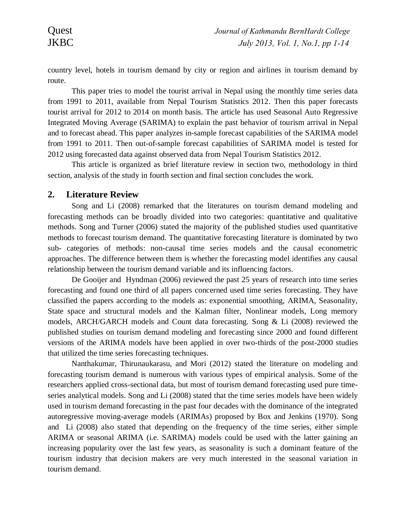country level, hotels in tourism demand by city or region and airlines in tourism demand by route.

This paper tries to model the tourist arrival in Nepal using the monthly time series data from 1991 to 2011, available from Nepal Tourism Statistics 2012. Then this paper forecasts tourist arrival for 2012 to 2014 on month basis. The article has used Seasonal Auto Regressive Integrated Moving Average (SARIMA) to explain the past behavior of tourism arrival in Nepal and to forecast ahead. This paper analyzes in-sample forecast capabilities of the SARIMA model from 1991 to 2011. Then out-of-sample forecast capabilities of SARIMA model is tested for 2012 using forecasted data against observed data from Nepal Tourism Statistics 2012.

This article is organized as brief literature review in section two, methodology in third section, analysis of the study in fourth section and final section concludes the work.

# **2. Literature Review**

Song and Li (2008) remarked that the literatures on tourism demand modeling and forecasting methods can be broadly divided into two categories: quantitative and qualitative methods. Song and Turner (2006) stated the majority of the published studies used quantitative methods to forecast tourism demand. The quantitative forecasting literature is dominated by two sub- categories of methods: non-causal time series models and the causal econometric approaches. The difference between them is whether the forecasting model identifies any causal relationship between the tourism demand variable and its influencing factors.

De Gooijer and Hyndman (2006) reviewed the past 25 years of research into time series forecasting and found one third of all papers concerned used time series forecasting. They have classified the papers according to the models as: exponential smoothing, ARIMA, Seasonality, State space and structural models and the Kalman filter, Nonlinear models, Long memory models, ARCH/GARCH models and Count data forecasting. Song & Li (2008) reviewed the published studies on tourism demand modeling and forecasting since 2000 and found different versions of the ARIMA models have been applied in over two-thirds of the post-2000 studies that utilized the time series forecasting techniques.

Nanthakumar, Thirunaukarasu, and Mori (2012) stated the literature on modeling and forecasting tourism demand is numerous with various types of empirical analysis. Some of the researchers applied cross-sectional data, but most of tourism demand forecasting used pure timeseries analytical models. Song and Li (2008) stated that the time series models have been widely used in tourism demand forecasting in the past four decades with the dominance of the integrated autoregressive moving-average models (ARIMAs) proposed by Box and Jenkins (1970). Song and Li (2008) also stated that depending on the frequency of the time series, either simple ARIMA or seasonal ARIMA (i.e. SARIMA) models could be used with the latter gaining an increasing popularity over the last few years, as seasonality is such a dominant feature of the tourism industry that decision makers are very much interested in the seasonal variation in tourism demand.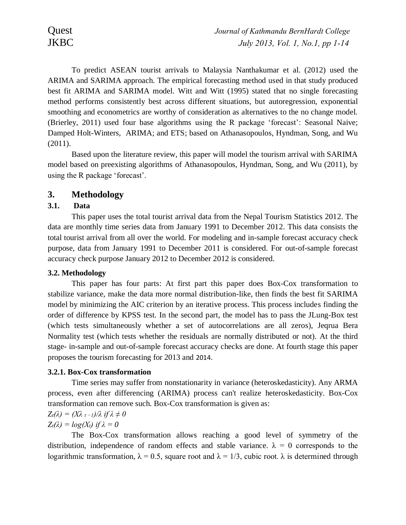To predict ASEAN tourist arrivals to Malaysia Nanthakumar et al. (2012) used the ARIMA and SARIMA approach. The empirical forecasting method used in that study produced best fit ARIMA and SARIMA model. Witt and Witt (1995) stated that no single forecasting method performs consistently best across different situations, but autoregression, exponential smoothing and econometrics are worthy of consideration as alternatives to the no change model. (Brierley, 2011) used four base algorithms using the R package 'forecast': Seasonal Naive; Damped Holt-Winters, ARIMA; and ETS; based on Athanasopoulos, Hyndman, Song, and Wu (2011).

Based upon the literature review, this paper will model the tourism arrival with SARIMA model based on preexisting algorithms of Athanasopoulos, Hyndman, Song, and Wu (2011), by using the R package 'forecast'.

# **3. Methodology**

# **3.1. Data**

This paper uses the total tourist arrival data from the Nepal Tourism Statistics 2012. The data are monthly time series data from January 1991 to December 2012. This data consists the total tourist arrival from all over the world. For modeling and in-sample forecast accuracy check purpose, data from January 1991 to December 2011 is considered. For out-of-sample forecast accuracy check purpose January 2012 to December 2012 is considered.

# **3.2. Methodology**

This paper has four parts: At first part this paper does Box-Cox transformation to stabilize variance, make the data more normal distribution-like, then finds the best fit SARIMA model by minimizing the AIC criterion by an iterative process. This process includes finding the order of difference by KPSS test. In the second part, the model has to pass the JLung-Box test (which tests simultaneously whether a set of autocorrelations are all zeros), Jeqrua Bera Normality test (which tests whether the residuals are normally distributed or not). At the third stage- in-sample and out-of-sample forecast accuracy checks are done. At fourth stage this paper proposes the tourism forecasting for 2013 and 2014.

# **3.2.1. Box-Cox transformation**

Time series may suffer from nonstationarity in variance (heteroskedasticity). Any ARMA process, even after differencing (ARIMA) process can't realize heteroskedasticity. Box-Cox transformation can remove such. Box-Cox transformation is given as:

### $Z_t(\lambda) = (X\lambda_{t-1})/\lambda$  if  $\lambda \neq 0$  $Z_t(\lambda) = log(X_t)$  if  $\lambda = 0$

The Box-Cox transformation allows reaching a good level of symmetry of the distribution, independence of random effects and stable variance.  $\lambda = 0$  corresponds to the logarithmic transformation,  $\lambda = 0.5$ , square root and  $\lambda = 1/3$ , cubic root.  $\lambda$  is determined through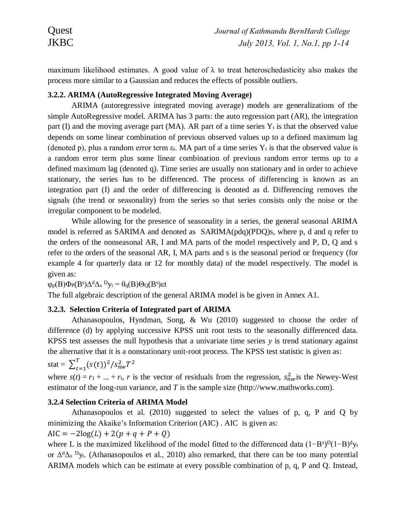maximum likelihood estimates. A good value of  $\lambda$  to treat heteroschedasticity also makes the process more similar to a Gaussian and reduces the effects of possible outliers.

# **3.2.2. ARIMA (AutoRegressive Integrated Moving Average)**

ARIMA (autoregressive integrated moving average) models are generalizations of the simple AutoRegressive model. ARIMA has 3 parts: the auto regression part (AR), the integration part (I) and the moving average part (MA). AR part of a time series  $Y_t$  is that the observed value depends on some linear combination of previous observed values up to a defined maximum lag (denoted p), plus a random error term  $\varepsilon_t$ . MA part of a time series  $Y_t$  is that the observed value is a random error term plus some linear combination of previous random error terms up to a defined maximum lag (denoted q). Time series are usually non stationary and in order to achieve stationary, the series has to be differenced. The process of differencing is known as an integration part (I) and the order of differencing is denoted as d. Differencing removes the signals (the trend or seasonality) from the series so that series consists only the noise or the irregular component to be modeled.

While allowing for the presence of seasonality in a series, the general seasonal ARIMA model is referred as SARIMA and denoted as SARIMA(pdq)(PDQ)s, where p, d and q refer to the orders of the nonseasonal AR, I and MA parts of the model respectively and P, D, Q and s refer to the orders of the seasonal AR, I, MA parts and s is the seasonal period or frequency (for example 4 for quarterly data or 12 for monthly data) of the model respectively. The model is given as:

 $\varphi_{p}(B)\Phi_{P}(B^{s})\Delta^{d}\Delta_{s}$ <sup>D</sup>y<sub>t</sub> =  $\theta_{q}(B)\Theta_{Q}(B^{s})$ εt

The full algebraic description of the general ARIMA model is be given in Annex A1.

# **3.2.3. Selection Criteria of Integrated part of ARIMA**

Athanasopoulos, Hyndman, Song, & Wu (2010) suggested to choose the order of difference (d) by applying successive KPSS unit root tests to the seasonally differenced data. KPSS test assesses the null hypothesis that a univariate time series  $\gamma$  is trend stationary against the alternative that it is a nonstationary unit-root process. The KPSS test statistic is given as:

stat =  $\sum_{t=1}^{T} (s(t))^2 / s_{nw}^2 T^2$  $t=1$ 

where  $s(t) = r_1 + ... + r_t$ , *r* is the vector of residuals from the regression,  $s_{nw}^2$  is the Newey-West estimator of the long-run variance, and *T* is the sample size (http://www.mathworks.com).

# **3.2.4 Selection Criteria of ARIMA Model**

Athanasopoulos et al. (2010) suggested to select the values of p, q, P and Q by minimizing the Akaike's Information Criterion (AIC) . AIC is given as:

AIC =  $-2log(L) + 2(p+q+P+Q)$ 

where L is the maximized likelihood of the model fitted to the differenced data  $(1 - B<sup>s</sup>)<sup>D</sup>(1 - B)<sup>d</sup>y<sub>t</sub>$ or  $\Delta^d \Delta_s$  <sup>D</sup>y<sub>t</sub>. (Athanasopoulos et al., 2010) also remarked, that there can be too many potential ARIMA models which can be estimate at every possible combination of p, q, P and Q. Instead,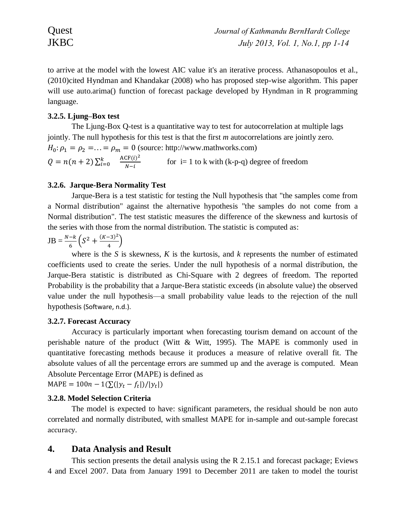to arrive at the model with the lowest AIC value it's an iterative process. Athanasopoulos et al., (2010)cited Hyndman and Khandakar (2008) who has proposed step-wise algorithm. This paper will use auto.arima() function of forecast package developed by Hyndman in R programming language.

# **3.2.5. Ljung–Box test**

The Ljung-Box Q-test is a quantitative way to test for autocorrelation at multiple lags jointly. The null hypothesis for this test is that the first *m* autocorrelations are jointly zero.  $H_0: \rho_1 = \rho_2 = \ldots = \rho_m = 0$  (source: http://www.mathworks.com)  $Q = n(n + 2) \sum_{i=0}^{k}$  $ACF(i)^2$  $N-i$ for  $i=1$  to k with  $(k-p-q)$  degree of freedom

# **3.2.6. Jarque-Bera Normality Test**

Jarque-Bera is a test statistic for testing the Null hypothesis that "the samples come from a Normal distribution" against the alternative hypothesis "the samples do not come from a Normal distribution". The test statistic measures the difference of the skewness and kurtosis of the series with those from the normal distribution. The statistic is computed as:

$$
JB = \frac{N-k}{6} \left( S^2 + \frac{(K-3)^2}{4} \right)
$$

where is the *S* is skewness, *K* is the kurtosis, and *k* represents the number of estimated coefficients used to create the series. Under the null hypothesis of a normal distribution, the Jarque-Bera statistic is distributed as Chi-Square with 2 degrees of freedom. The reported Probability is the probability that a Jarque-Bera statistic exceeds (in absolute value) the observed value under the null hypothesis—a small probability value leads to the rejection of the null hypothesis (Software, n.d.).

# **3.2.7. Forecast Accuracy**

Accuracy is particularly important when forecasting tourism demand on account of the perishable nature of the product (Witt & Witt, 1995). The MAPE is commonly used in quantitative forecasting methods because it produces a measure of relative overall fit. The absolute values of all the percentage errors are summed up and the average is computed. Mean Absolute Percentage Error (MAPE) is defined as

 $\text{MAPE} = 100n - 1(\sum(|y_t - f_t|)/|y_t|)$ 

# **3.2.8. Model Selection Criteria**

The model is expected to have: significant parameters, the residual should be non auto correlated and normally distributed, with smallest MAPE for in-sample and out-sample forecast accuracy.

# **4. Data Analysis and Result**

This section presents the detail analysis using the R 2.15.1 and forecast package; Eviews 4 and Excel 2007. Data from January 1991 to December 2011 are taken to model the tourist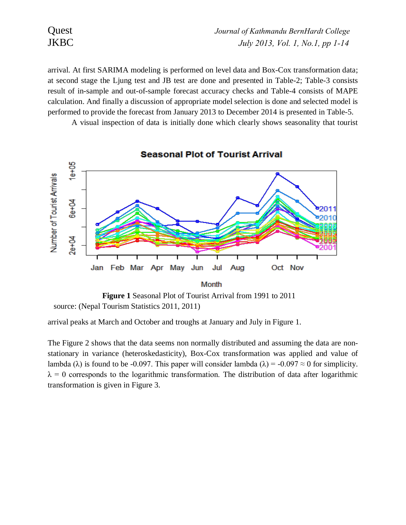| Quest       | Journal of Kathmandu BernHardt College |
|-------------|----------------------------------------|
| <b>JKBC</b> | July 2013, Vol. 1, No.1, pp 1-14       |

arrival. At first SARIMA modeling is performed on level data and Box-Cox transformation data; at second stage the Ljung test and JB test are done and presented in Table-2; Table-3 consists result of in-sample and out-of-sample forecast accuracy checks and Table-4 consists of MAPE calculation. And finally a discussion of appropriate model selection is done and selected model is performed to provide the forecast from January 2013 to December 2014 is presented in Table-5.

A visual inspection of data is initially done which clearly shows seasonality that tourist



source: (Nepal Tourism Statistics 2011, 2011)

arrival peaks at March and October and troughs at January and July in Figure 1.

The Figure 2 shows that the data seems non normally distributed and assuming the data are nonstationary in variance (heteroskedasticity), Box-Cox transformation was applied and value of lambda ( $\lambda$ ) is found to be -0.097. This paper will consider lambda ( $\lambda$ ) = -0.097  $\approx$  0 for simplicity.  $\lambda = 0$  corresponds to the logarithmic transformation. The distribution of data after logarithmic transformation is given in Figure 3.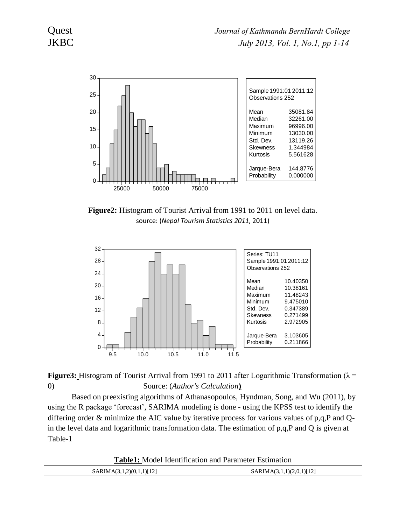

**Figure2:** Histogram of Tourist Arrival from 1991 to 2011 on level data. source: (*Nepal Tourism Statistics 2011*, 2011)



**Figure3:** Histogram of Tourist Arrival from 1991 to 2011 after Logarithmic Transformation ( $\lambda$  = 0) Source: (*Author's Calculation***)**

Based on preexisting algorithms of Athanasopoulos, Hyndman, Song, and Wu (2011), by using the R package 'forecast', SARIMA modeling is done - using the KPSS test to identify the differing order & minimize the AIC value by iterative process for various values of  $p,q,P$  and Qin the level data and logarithmic transformation data. The estimation of p,q,P and Q is given at Table-1

**Table1:** Model Identification and Parameter Estimation

| MA(3,1,2)(0,1,1)[12]<br>AR F.<br>MA(? | (3,1,1)(2,0,1)[12]<br>SARIMA(3.<br>____________ |
|---------------------------------------|-------------------------------------------------|
|                                       |                                                 |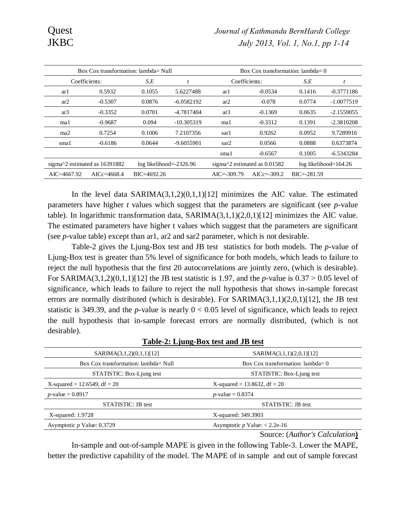| Box Cox transformation: $lambda = Null$ |                                                                             |                 |                                            | Box Cox transformation: $lambda = 0$ |                         |                 |              |
|-----------------------------------------|-----------------------------------------------------------------------------|-----------------|--------------------------------------------|--------------------------------------|-------------------------|-----------------|--------------|
|                                         | Coefficients:                                                               | S.E             |                                            | Coefficients:                        |                         | S.E             |              |
| arl                                     | 0.5932                                                                      | 0.1055          | 5.6227488                                  | arl                                  | $-0.0534$               | 0.1416          | $-0.3771186$ |
| ar <sub>2</sub>                         | $-0.5307$                                                                   | 0.0876          | $-6.0582192$                               | ar2                                  | $-0.078$                | 0.0774          | $-1.0077519$ |
| ar3                                     | $-0.3352$                                                                   | 0.0701          | -4.7817404                                 | ar3                                  | $-0.1369$               | 0.0635          | $-2.1559055$ |
| mal                                     | $-0.9687$                                                                   | 0.094           | $-10.305319$                               | ma1                                  | $-0.3312$               | 0.1391          | $-2.3810208$ |
| ma <sub>2</sub>                         | 0.7254                                                                      | 0.1006          | 7.2107356                                  | sarl                                 | 0.9262                  | 0.0952          | 9.7289916    |
| smal                                    | $-0.6186$                                                                   | 0.0644          | $-9.6055901$                               | sar2                                 | 0.0566                  | 0.0888          | 0.6373874    |
|                                         |                                                                             |                 |                                            | smal                                 | $-0.6567$               | 0.1005          | $-6.5343284$ |
|                                         | sigma $\textdegree$ 2 estimated as 16391882<br>$log$ likelihood= $-2326.96$ |                 | sigma $\textdegree$ 2 estimated as 0.01582 |                                      | $log$ likelihood=164.26 |                 |              |
| $AIC = 4667.92$                         | AICc= $4668.4$                                                              | $BIC = 4692.26$ |                                            | $AIC = -309.79$                      | $AICc = -309.2$         | $BIC = -281.59$ |              |

In the level data  $SARIMA(3,1,2)(0,1,1)[12]$  minimizes the AIC value. The estimated parameters have higher *t* values which suggest that the parameters are significant (see *p*-value table). In logarithmic transformation data,  $SARIMA(3,1,1)(2,0,1)[12]$  minimizes the AIC value. The estimated parameters have higher t values which suggest that the parameters are significant (see *p*-value table) except than ar1, ar2 and sar2 parameter, which is not desirable.

Table-2 gives the Ljung-Box test and JB test statistics for both models. The *p*-value of Ljung-Box test is greater than 5% level of significance for both models, which leads to failure to reject the null hypothesis that the first 20 autocorrelations are jointly zero, (which is desirable). For SARIMA(3,1,2)(0,1,1)[12] the JB test statistic is 1.97, and the *p*-value is 0.37 > 0.05 level of significance, which leads to failure to reject the null hypothesis that shows in-sample forecast errors are normally distributed (which is desirable). For SARIMA(3,1,1)(2,0,1)[12], the JB test statistic is 349.39, and the *p*-value is nearly  $0 < 0.05$  level of significance, which leads to reject the null hypothesis that in-sample forecast errors are normally distributed, (which is not desirable).

| SARIMA(3,1,2)(0,1,1)[12]             | SARIMA(3,1,1)(2,0,1)[12]           |
|--------------------------------------|------------------------------------|
| Box Cox transformation: lambda= Null | Box Cox transformation: $lambda=0$ |
| STATISTIC: Box-Ljung test            | STATISTIC: Box-Ljung test          |
| X-squared = 12.6549, df = $20$       | X-squared = 13.8632, df = $20$     |
| <i>p</i> -value = $0.8917$           | <i>p</i> -value = $0.8374$         |
| <b>STATISTIC: JB test</b>            | <b>STATISTIC: JB</b> test          |
| $X$ -squared: 1.9728                 | X-squared: 349.3903                |
| Asymptotic $p$ Value: 0.3729         | Asymptotic $p$ Value: < 2.2e-16    |
|                                      | Source: (Author's Calculation)     |

**Table-2: Ljung-Box test and JB test**

In-sample and out-of-sample MAPE is given in the following Table-3. Lower the MAPE, better the predictive capability of the model. The MAPE of in sample and out of sample forecast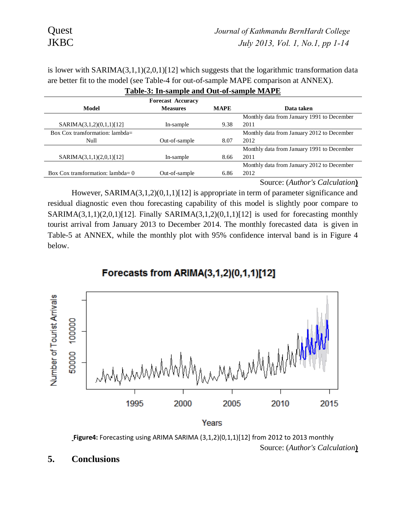is lower with  $SARMA(3,1,1)(2,0,1)[12]$  which suggests that the logarithmic transformation data are better fit to the model (see Table-4 for out-of-sample MAPE comparison at ANNEX).

| $=$ 0.010 $\frac{1}{2}$ 0.00100 $\frac{1}{2}$ 0.010 $\frac{1}{2}$ 0.0000 $\frac{1}{2}$ 0.0000 $\frac{1}{2}$ 0.0000 $\frac{1}{2}$ |                          |             |                                            |  |  |  |  |
|----------------------------------------------------------------------------------------------------------------------------------|--------------------------|-------------|--------------------------------------------|--|--|--|--|
|                                                                                                                                  | <b>Forecast Accuracy</b> |             |                                            |  |  |  |  |
| Model                                                                                                                            | <b>Measures</b>          | <b>MAPE</b> | Data taken                                 |  |  |  |  |
|                                                                                                                                  |                          |             | Monthly data from January 1991 to December |  |  |  |  |
| SARIMA(3,1,2)(0,1,1)[12]                                                                                                         | In-sample                | 9.38        | 2011                                       |  |  |  |  |
| Box Cox transformation: $lambda =$                                                                                               |                          |             | Monthly data from January 2012 to December |  |  |  |  |
| Null                                                                                                                             | Out-of-sample            | 8.07        | 2012                                       |  |  |  |  |
|                                                                                                                                  |                          |             | Monthly data from January 1991 to December |  |  |  |  |
| SARIMA(3,1,1)(2,0,1)[12]                                                                                                         | In-sample                | 8.66        | 2011                                       |  |  |  |  |
|                                                                                                                                  |                          |             | Monthly data from January 2012 to December |  |  |  |  |
| Box Cox transformation: $lambda=0$                                                                                               | Out-of-sample            | 6.86        | 2012                                       |  |  |  |  |
|                                                                                                                                  |                          |             |                                            |  |  |  |  |

| Table-3: In-sample and Out-of-sample MAPE |  |
|-------------------------------------------|--|
|                                           |  |

Source: (*Author's Calculation***)**

However, SARIMA(3,1,2)(0,1,1)[12] is appropriate in term of parameter significance and residual diagnostic even thou forecasting capability of this model is slightly poor compare to SARIMA $(3,1,1)(2,0,1)$ [12]. Finally SARIMA $(3,1,2)(0,1,1)$ [12] is used for forecasting monthly tourist arrival from January 2013 to December 2014. The monthly forecasted data is given in Table-5 at ANNEX, while the monthly plot with 95% confidence interval band is in Figure 4 below.

# Forecasts from ARIMA(3,1,2)(0,1,1)[12]



**Figure4:** Forecasting using ARIMA SARIMA (3,1,2)(0,1,1)[12] from 2012 to 2013 monthly Source: (*Author's Calculation***)**

**5. Conclusions**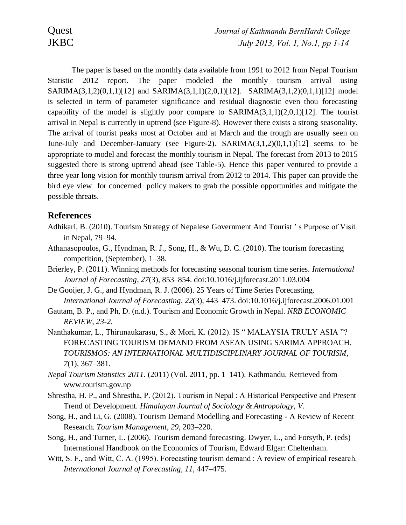The paper is based on the monthly data available from 1991 to 2012 from Nepal Tourism Statistic 2012 report. The paper modeled the monthly tourism arrival using SARIMA(3,1,2)(0,1,1)[12] and SARIMA(3,1,1)(2,0,1)[12]. SARIMA(3,1,2)(0,1,1)[12] model is selected in term of parameter significance and residual diagnostic even thou forecasting capability of the model is slightly poor compare to  $SARIMA(3,1,1)(2,0,1)[12]$ . The tourist arrival in Nepal is currently in uptrend (see Figure-8). However there exists a strong seasonality. The arrival of tourist peaks most at October and at March and the trough are usually seen on June-July and December-January (see Figure-2). SARIMA(3,1,2)(0,1,1)[12] seems to be appropriate to model and forecast the monthly tourism in Nepal. The forecast from 2013 to 2015 suggested there is strong uptrend ahead (see Table-5). Hence this paper ventured to provide a three year long vision for monthly tourism arrival from 2012 to 2014. This paper can provide the bird eye view for concerned policy makers to grab the possible opportunities and mitigate the possible threats.

# **References**

- Adhikari, B. (2010). Tourism Strategy of Nepalese Government And Tourist ' s Purpose of Visit in Nepal, 79–94.
- Athanasopoulos, G., Hyndman, R. J., Song, H., & Wu, D. C. (2010). The tourism forecasting competition, (September), 1–38.
- Brierley, P. (2011). Winning methods for forecasting seasonal tourism time series. *International Journal of Forecasting*, *27*(3), 853–854. doi:10.1016/j.ijforecast.2011.03.004
- De Gooijer, J. G., and Hyndman, R. J. (2006). 25 Years of Time Series Forecasting. *International Journal of Forecasting*, *22*(3), 443–473. doi:10.1016/j.ijforecast.2006.01.001
- Gautam, B. P., and Ph, D. (n.d.). Tourism and Economic Growth in Nepal. *NRB ECONOMIC REVIEW*, *23-2*.
- Nanthakumar, L., Thirunaukarasu, S., & Mori, K. (2012). IS " MALAYSIA TRULY ASIA "? FORECASTING TOURISM DEMAND FROM ASEAN USING SARIMA APPROACH. *TOURISMOS: AN INTERNATIONAL MULTIDISCIPLINARY JOURNAL OF TOURISM*, *7*(1), 367–381.
- *Nepal Tourism Statistics 2011*. (2011) (Vol. 2011, pp. 1–141). Kathmandu. Retrieved from www.tourism.gov.np
- Shrestha, H. P., and Shrestha, P. (2012). Tourism in Nepal : A Historical Perspective and Present Trend of Development. *Himalayan Journal of Sociology & Antropology*, *V*.
- Song, H., and Li, G. (2008). Tourism Demand Modelling and Forecasting A Review of Recent Research. *Tourism Management*, *29*, 203–220.
- Song, H., and Turner, L. (2006). Tourism demand forecasting. Dwyer, L., and Forsyth, P. (eds) International Handbook on the Economics of Tourism, Edward Elgar: Cheltenham.
- Witt, S. F., and Witt, C. A. (1995). Forecasting tourism demand : A review of empirical research. *International Journal of Forecasting*, *11*, 447–475.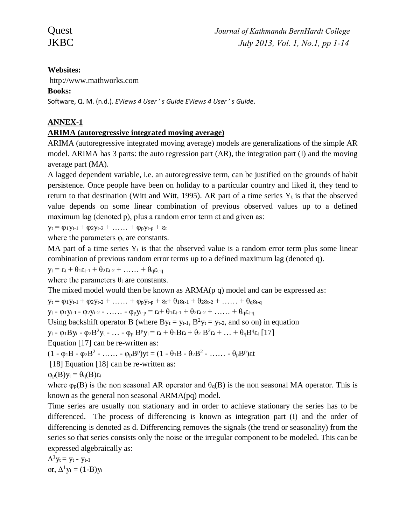# **Websites:**

http://www.mathworks.com

# **Books:**

Software, Q. M. (n.d.). *EViews 4 User ' s Guide EViews 4 User ' s Guide*.

# **ANNEX-1**

# **ARIMA (autoregressive integrated moving average)**

ARIMA (autoregressive integrated moving average) models are generalizations of the simple AR model. ARIMA has 3 parts: the auto regression part (AR), the integration part (I) and the moving average part (MA).

A lagged dependent variable, i.e. an autoregressive term, can be justified on the grounds of habit persistence. Once people have been on holiday to a particular country and liked it, they tend to return to that destination (Witt and Witt, 1995). AR part of a time series  $Y_t$  is that the observed value depends on some linear combination of previous observed values up to a defined maximum lag (denoted p), plus a random error term  $\alpha$  and given as:

 $y_t = \varphi_1 y_{t-1} + \varphi_2 y_{t-2} + \ldots + \varphi_p y_{t-p} + \varepsilon_t$ 

where the parameters  $\varphi_t$  are constants.

MA part of a time series  $Y_t$  is that the observed value is a random error term plus some linear combination of previous random error terms up to a defined maximum lag (denoted q).

 $y_t = \varepsilon_t + \theta_1 \varepsilon_{t-1} + \theta_2 \varepsilon_{t-2} + \ldots + \theta_q \varepsilon_{t-q}$ 

where the parameters  $\theta_t$  are constants.

The mixed model would then be known as  $ARMA(p q)$  model and can be expressed as:

 $y_t = \varphi_1 y_{t-1} + \varphi_2 y_{t-2} + \ldots + \varphi_p y_{t-p} + \varepsilon_t + \theta_1 \varepsilon_{t-1} + \theta_2 \varepsilon_{t-2} + \ldots + \theta_q \varepsilon_{t-q}$ 

 $y_t - \varphi_1 y_{t-1} - \varphi_2 y_{t-2} - \ldots - \varphi_p y_{t-p} = \varepsilon_t + \vartheta_1 \varepsilon_{t-1} + \vartheta_2 \varepsilon_{t-2} + \ldots + \vartheta_q \varepsilon_{t-q}$ 

Using backshift operator B (where  $By_t = y_{t-1}$ ,  $B^2y_t = y_{t-2}$ , and so on) in equation

 $y_t$  -  $\varphi_1 B y_t$  -  $\varphi_2 B^2 y_t$  - ... -  $\varphi_p B^p y_t = \varepsilon_t + \theta_1 B \varepsilon_t + \theta_2 B^2 \varepsilon_t + \ldots + \theta_q B^q \varepsilon_t [17]$ 

Equation [17] can be re-written as:

 $(1 - \varphi_1 B - \varphi_2 B^2 - \dots - \varphi_p B^p)$ yt =  $(1 - \theta_1 B - \theta_2 B^2 - \dots - \theta_p B^p)$ et

[18] Equation [18] can be re-written as:

 $\varphi_{p}(B)y_{t} = \theta_{q}(B)\varepsilon_{t}$ 

where  $\varphi_p(B)$  is the non seasonal AR operator and  $\theta_q(B)$  is the non seasonal MA operator. This is known as the general non seasonal ARMA(pq) model.

Time series are usually non stationary and in order to achieve stationary the series has to be differenced. The process of differencing is known as integration part (I) and the order of differencing is denoted as d. Differencing removes the signals (the trend or seasonality) from the series so that series consists only the noise or the irregular component to be modeled. This can be expressed algebraically as:

 $\Delta^1 y_t = y_t - y_{t-1}$ or,  $\Delta^1 y_t = (1-B)y_t$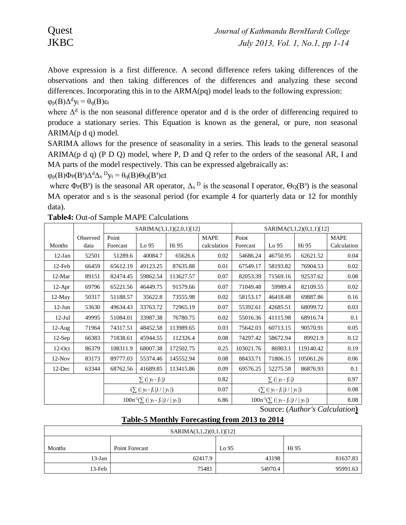Above expression is a first difference. A second difference refers taking differences of the observations and then taking differences of the differences and analyzing these second differences. Incorporating this in to the ARMA(pq) model leads to the following expression:  $φ<sub>p</sub>(B)Δ<sup>d</sup>y<sub>t</sub> = θ<sub>q</sub>(B)ε<sub>t</sub>$ 

where  $\Delta^d$  is the non seasonal difference operator and d is the order of differencing required to produce a stationary series. This Equation is known as the general, or pure, non seasonal  $ARIMA(p d q) model.$ 

SARIMA allows for the presence of seasonality in a series. This leads to the general seasonal ARIMA( $p$  d  $q$ ) (P D O) model, where P, D and O refer to the orders of the seasonal AR, I and MA parts of the model respectively. This can be expressed algebraically as:

 $\varphi_P(B)\Phi_P(B^s)\Delta^d\Delta_s P_{\text{y}_t} = \theta_q(B)\Theta_Q(B^s)$ εt

where  $\Phi_P(B^s)$  is the seasonal AR operator,  $\Delta_s$ <sup>D</sup> is the seasonal I operator,  $\Theta_Q(B^s)$  is the seasonal MA operator and s is the seasonal period (for example 4 for quarterly data or 12 for monthly data).

|                          |                            | SARIMA(3,1,1)(2,0,1)[12] |                                      |                                | SARIMA(3,1,2)(0,1,1)[12] |           |                                      |           |             |
|--------------------------|----------------------------|--------------------------|--------------------------------------|--------------------------------|--------------------------|-----------|--------------------------------------|-----------|-------------|
|                          | Observed                   | Point                    |                                      |                                | <b>MAPE</b>              | Point     |                                      |           | <b>MAPE</b> |
| Months                   | data                       | Forecast                 | Lo 95                                | Hi 95                          | calculation              | Forecast  | Lo 95                                | Hi 95     | Calculation |
| $12-Jan$                 | 52501                      | 51289.6                  | 40084.7                              | 65626.6                        | 0.02                     | 54686.24  | 46750.95                             | 62621.52  | 0.04        |
| $12$ -Feb                | 66459                      | 65612.19                 | 49123.25                             | 87635.88                       | 0.01                     | 67549.17  | 58193.82                             | 76904.53  | 0.02        |
| $12-Mar$                 | 89151                      | 82474.45                 | 59862.54                             | 113627.57                      | 0.07                     | 82053.39  | 71569.16                             | 92537.62  | 0.08        |
| $12-Apr$                 | 69796                      | 65221.56                 | 46449.75                             | 91579.66                       | 0.07                     | 71049.48  | 59989.4                              | 82109.55  | 0.02        |
| $12$ -May                | 50317                      | 51188.57                 | 35622.8                              | 73555.98                       | 0.02                     | 58153.17  | 46418.48                             | 69887.86  | 0.16        |
| $12-Jun$                 | 53630                      | 49634.43                 | 33763.72                             | 72965.19                       | 0.07                     | 55392.61  | 42685.51                             | 68099.72  | 0.03        |
| $12$ -Jul                | 49995                      | 51084.01                 | 33987.38                             | 76780.75                       | 0.02                     | 55016.36  | 41115.98                             | 68916.74  | 0.1         |
| $12-Aug$                 | 71964                      | 74317.51                 | 48452.58                             | 113989.65                      | 0.03                     | 75642.03  | 60713.15                             | 90570.91  | 0.05        |
| $12-Sep$                 | 66383                      | 71838.61                 | 45944.55                             | 112326.4                       | 0.08                     | 74297.42  | 58672.94                             | 89921.9   | 0.12        |
| $12-Oct$                 | 86379                      | 108311.9                 | 68007.38                             | 172502.75                      | 0.25                     | 103021.76 | 86903.1                              | 119140.42 | 0.19        |
| $12-Nov$                 | 83173                      | 89777.03                 | 55374.46                             | 145552.94                      | 0.08                     | 88433.71  | 71806.15                             | 105061.26 | 0.06        |
| $12$ -Dec                | 63344                      | 68762.56                 | 41689.85                             | 113415.86                      | 0.09                     | 69576.25  | 52275.58                             | 86876.93  | 0.1         |
| $\sum$ (  $y_t - f_t$  ) |                            | 0.82                     |                                      | $\sum$ (  $y_t - f_t$  )       |                          | 0.97      |                                      |           |             |
|                          | $(\sum ( y_t-f_t )/ y_t )$ |                          | 0.07                                 | $(\sum ( y_t - f_t ) /  y_t )$ |                          | 0.08      |                                      |           |             |
|                          |                            |                          | $100n^1(\sum ( y_t - f_t ) /  y_t )$ |                                | 6.86                     |           | $100n^1(\sum ( y_t - f_t ) /  y_t )$ |           | 8.08        |

**Table4:** Out-of Sample MAPE Calculations

Source: (*Author's Calculation***)**

# **Table-5 Monthly Forecasting from 2013 to 2014**

| SARIMA(3,1,2)(0,1,1)[12] |                |         |          |  |  |  |
|--------------------------|----------------|---------|----------|--|--|--|
| Months                   | Point Forecast | Lo 95   | Hi 95    |  |  |  |
| $13$ -Jan                | 62417.9        | 43198   | 81637.83 |  |  |  |
| $13$ -Feb                | 75481          | 54970.4 | 95991.63 |  |  |  |